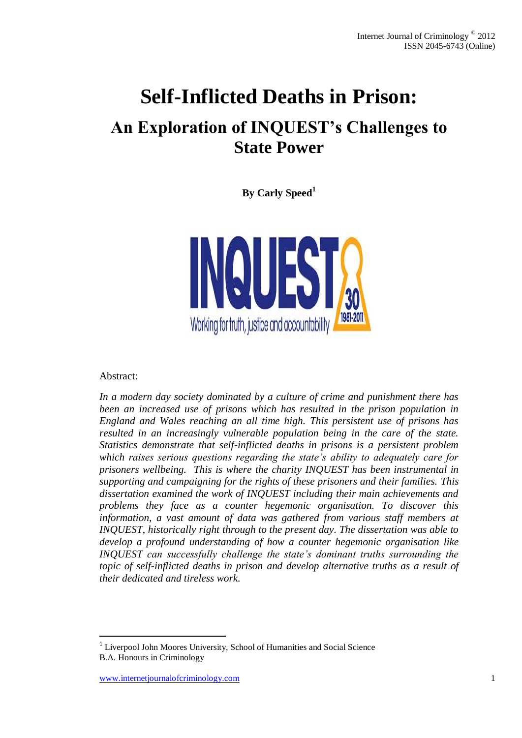# **Self-Inflicted Deaths in Prison:**

## **An Exploration of INQUEST's Challenges to State Power**

**By Carly Speed<sup>1</sup>**



Abstract:

l

*In a modern day society dominated by a culture of crime and punishment there has been an increased use of prisons which has resulted in the prison population in England and Wales reaching an all time high. This persistent use of prisons has resulted in an increasingly vulnerable population being in the care of the state. Statistics demonstrate that self-inflicted deaths in prisons is a persistent problem which raises serious questions regarding the state's ability to adequately care for prisoners wellbeing. This is where the charity INQUEST has been instrumental in supporting and campaigning for the rights of these prisoners and their families. This dissertation examined the work of INQUEST including their main achievements and problems they face as a counter hegemonic organisation. To discover this*  information, a vast amount of data was gathered from various staff members at *INQUEST, historically right through to the present day. The dissertation was able to develop a profound understanding of how a counter hegemonic organisation like INQUEST can successfully challenge the state's dominant truths surrounding the topic of self-inflicted deaths in prison and develop alternative truths as a result of their dedicated and tireless work.*

<sup>&</sup>lt;sup>1</sup> Liverpool John Moores University, School of Humanities and Social Science B.A. Honours in Criminology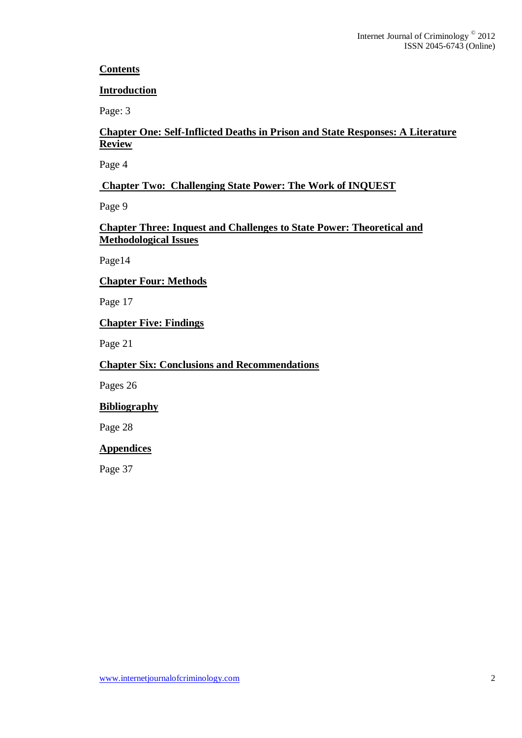## **Contents**

## **Introduction**

Page: 3

## **Chapter One: Self-Inflicted Deaths in Prison and State Responses: A Literature Review**

Page 4

## **Chapter Two: Challenging State Power: The Work of INQUEST**

Page 9

## **Chapter Three: Inquest and Challenges to State Power: Theoretical and Methodological Issues**

Page14

## **Chapter Four: Methods**

Page 17

## **Chapter Five: Findings**

Page 21

## **Chapter Six: Conclusions and Recommendations**

Pages 26

## **Bibliography**

Page 28

## **Appendices**

Page 37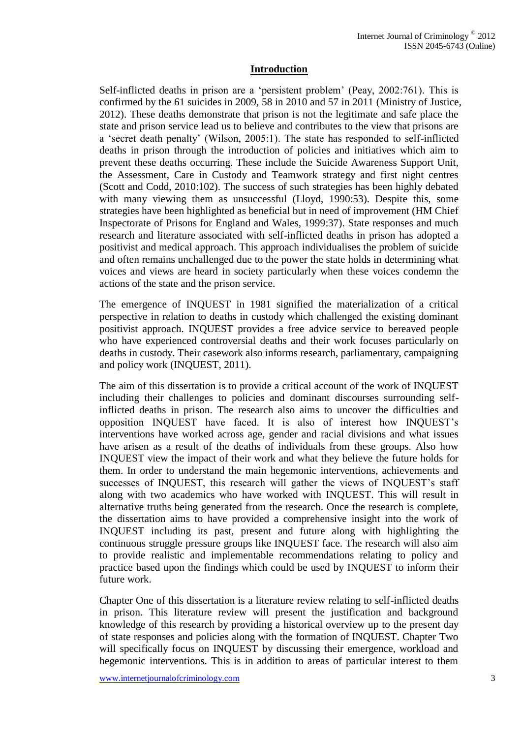#### **Introduction**

Self-inflicted deaths in prison are a 'persistent problem' (Peay, 2002:761). This is confirmed by the 61 suicides in 2009, 58 in 2010 and 57 in 2011 (Ministry of Justice, 2012). These deaths demonstrate that prison is not the legitimate and safe place the state and prison service lead us to believe and contributes to the view that prisons are a 'secret death penalty' (Wilson, 2005:1). The state has responded to self-inflicted deaths in prison through the introduction of policies and initiatives which aim to prevent these deaths occurring. These include the Suicide Awareness Support Unit, the Assessment, Care in Custody and Teamwork strategy and first night centres (Scott and Codd, 2010:102). The success of such strategies has been highly debated with many viewing them as unsuccessful (Lloyd, 1990:53). Despite this, some strategies have been highlighted as beneficial but in need of improvement (HM Chief Inspectorate of Prisons for England and Wales, 1999:37). State responses and much research and literature associated with self-inflicted deaths in prison has adopted a positivist and medical approach. This approach individualises the problem of suicide and often remains unchallenged due to the power the state holds in determining what voices and views are heard in society particularly when these voices condemn the actions of the state and the prison service.

The emergence of INQUEST in 1981 signified the materialization of a critical perspective in relation to deaths in custody which challenged the existing dominant positivist approach. INQUEST provides a free advice service to bereaved people who have experienced controversial deaths and their work focuses particularly on deaths in custody. Their casework also informs research, parliamentary, campaigning and policy work (INQUEST, 2011).

The aim of this dissertation is to provide a critical account of the work of INQUEST including their challenges to policies and dominant discourses surrounding selfinflicted deaths in prison. The research also aims to uncover the difficulties and opposition INQUEST have faced. It is also of interest how INQUEST's interventions have worked across age, gender and racial divisions and what issues have arisen as a result of the deaths of individuals from these groups. Also how INQUEST view the impact of their work and what they believe the future holds for them. In order to understand the main hegemonic interventions, achievements and successes of INQUEST, this research will gather the views of INQUEST's staff along with two academics who have worked with INQUEST. This will result in alternative truths being generated from the research. Once the research is complete, the dissertation aims to have provided a comprehensive insight into the work of INQUEST including its past, present and future along with highlighting the continuous struggle pressure groups like INQUEST face. The research will also aim to provide realistic and implementable recommendations relating to policy and practice based upon the findings which could be used by INQUEST to inform their future work.

Chapter One of this dissertation is a literature review relating to self-inflicted deaths in prison. This literature review will present the justification and background knowledge of this research by providing a historical overview up to the present day of state responses and policies along with the formation of INQUEST. Chapter Two will specifically focus on INQUEST by discussing their emergence, workload and hegemonic interventions. This is in addition to areas of particular interest to them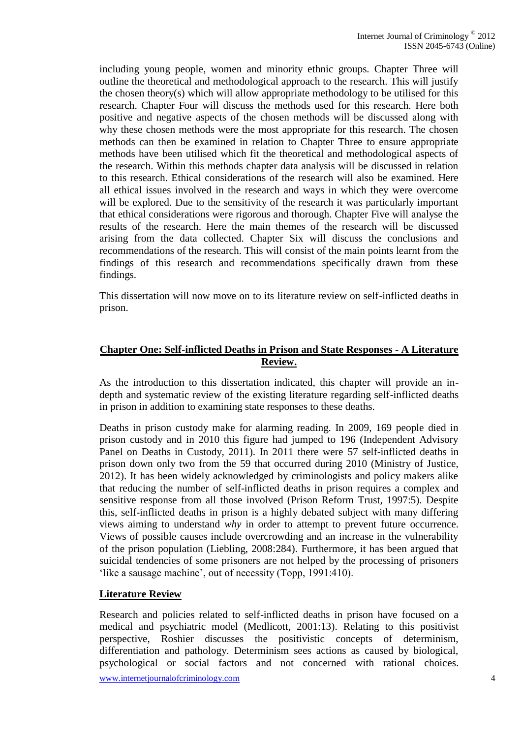including young people, women and minority ethnic groups. Chapter Three will outline the theoretical and methodological approach to the research. This will justify the chosen theory(s) which will allow appropriate methodology to be utilised for this research. Chapter Four will discuss the methods used for this research. Here both positive and negative aspects of the chosen methods will be discussed along with why these chosen methods were the most appropriate for this research. The chosen methods can then be examined in relation to Chapter Three to ensure appropriate methods have been utilised which fit the theoretical and methodological aspects of the research. Within this methods chapter data analysis will be discussed in relation to this research. Ethical considerations of the research will also be examined. Here all ethical issues involved in the research and ways in which they were overcome will be explored. Due to the sensitivity of the research it was particularly important that ethical considerations were rigorous and thorough. Chapter Five will analyse the results of the research. Here the main themes of the research will be discussed arising from the data collected. Chapter Six will discuss the conclusions and recommendations of the research. This will consist of the main points learnt from the findings of this research and recommendations specifically drawn from these findings.

This dissertation will now move on to its literature review on self-inflicted deaths in prison.

## **Chapter One: Self-inflicted Deaths in Prison and State Responses - A Literature Review.**

As the introduction to this dissertation indicated, this chapter will provide an indepth and systematic review of the existing literature regarding self-inflicted deaths in prison in addition to examining state responses to these deaths.

Deaths in prison custody make for alarming reading. In 2009, 169 people died in prison custody and in 2010 this figure had jumped to 196 (Independent Advisory Panel on Deaths in Custody, 2011). In 2011 there were 57 self-inflicted deaths in prison down only two from the 59 that occurred during 2010 (Ministry of Justice, 2012). It has been widely acknowledged by criminologists and policy makers alike that reducing the number of self-inflicted deaths in prison requires a complex and sensitive response from all those involved (Prison Reform Trust, 1997:5). Despite this, self-inflicted deaths in prison is a highly debated subject with many differing views aiming to understand *why* in order to attempt to prevent future occurrence. Views of possible causes include overcrowding and an increase in the vulnerability of the prison population (Liebling, 2008:284). Furthermore, it has been argued that suicidal tendencies of some prisoners are not helped by the processing of prisoners 'like a sausage machine', out of necessity (Topp, 1991:410).

## **Literature Review**

Research and policies related to self-inflicted deaths in prison have focused on a medical and psychiatric model (Medlicott, 2001:13). Relating to this positivist perspective, Roshier discusses the positivistic concepts of determinism, differentiation and pathology. Determinism sees actions as caused by biological, psychological or social factors and not concerned with rational choices.

www.internetjournalofcriminology.com 4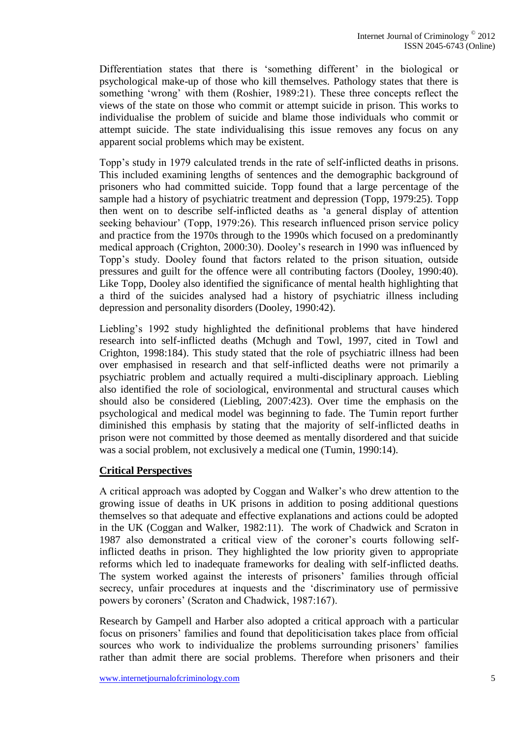Differentiation states that there is 'something different' in the biological or psychological make-up of those who kill themselves. Pathology states that there is something 'wrong' with them (Roshier, 1989:21). These three concepts reflect the views of the state on those who commit or attempt suicide in prison. This works to individualise the problem of suicide and blame those individuals who commit or attempt suicide. The state individualising this issue removes any focus on any apparent social problems which may be existent.

Topp's study in 1979 calculated trends in the rate of self-inflicted deaths in prisons. This included examining lengths of sentences and the demographic background of prisoners who had committed suicide. Topp found that a large percentage of the sample had a history of psychiatric treatment and depression (Topp, 1979:25). Topp then went on to describe self-inflicted deaths as 'a general display of attention seeking behaviour' (Topp, 1979:26). This research influenced prison service policy and practice from the 1970s through to the 1990s which focused on a predominantly medical approach (Crighton, 2000:30). Dooley's research in 1990 was influenced by Topp's study. Dooley found that factors related to the prison situation, outside pressures and guilt for the offence were all contributing factors (Dooley, 1990:40). Like Topp, Dooley also identified the significance of mental health highlighting that a third of the suicides analysed had a history of psychiatric illness including depression and personality disorders (Dooley, 1990:42).

Liebling's 1992 study highlighted the definitional problems that have hindered research into self-inflicted deaths (Mchugh and Towl, 1997, cited in Towl and Crighton, 1998:184). This study stated that the role of psychiatric illness had been over emphasised in research and that self-inflicted deaths were not primarily a psychiatric problem and actually required a multi-disciplinary approach. Liebling also identified the role of sociological, environmental and structural causes which should also be considered (Liebling, 2007:423). Over time the emphasis on the psychological and medical model was beginning to fade. The Tumin report further diminished this emphasis by stating that the majority of self-inflicted deaths in prison were not committed by those deemed as mentally disordered and that suicide was a social problem, not exclusively a medical one (Tumin, 1990:14).

## **Critical Perspectives**

A critical approach was adopted by Coggan and Walker's who drew attention to the growing issue of deaths in UK prisons in addition to posing additional questions themselves so that adequate and effective explanations and actions could be adopted in the UK (Coggan and Walker, 1982:11). The work of Chadwick and Scraton in 1987 also demonstrated a critical view of the coroner's courts following selfinflicted deaths in prison. They highlighted the low priority given to appropriate reforms which led to inadequate frameworks for dealing with self-inflicted deaths. The system worked against the interests of prisoners' families through official secrecy, unfair procedures at inquests and the 'discriminatory use of permissive powers by coroners' (Scraton and Chadwick, 1987:167).

Research by Gampell and Harber also adopted a critical approach with a particular focus on prisoners' families and found that depoliticisation takes place from official sources who work to individualize the problems surrounding prisoners' families rather than admit there are social problems. Therefore when prisoners and their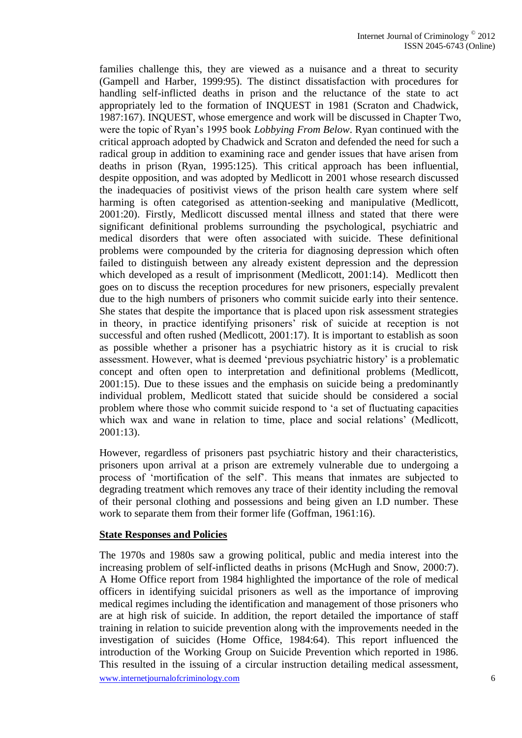families challenge this, they are viewed as a nuisance and a threat to security (Gampell and Harber, 1999:95). The distinct dissatisfaction with procedures for handling self-inflicted deaths in prison and the reluctance of the state to act appropriately led to the formation of INQUEST in 1981 (Scraton and Chadwick, 1987:167). INQUEST, whose emergence and work will be discussed in Chapter Two, were the topic of Ryan's 1995 book *Lobbying From Below*. Ryan continued with the critical approach adopted by Chadwick and Scraton and defended the need for such a radical group in addition to examining race and gender issues that have arisen from deaths in prison (Ryan, 1995:125). This critical approach has been influential, despite opposition, and was adopted by Medlicott in 2001 whose research discussed the inadequacies of positivist views of the prison health care system where self harming is often categorised as attention-seeking and manipulative (Medlicott, 2001:20). Firstly, Medlicott discussed mental illness and stated that there were significant definitional problems surrounding the psychological, psychiatric and medical disorders that were often associated with suicide. These definitional problems were compounded by the criteria for diagnosing depression which often failed to distinguish between any already existent depression and the depression which developed as a result of imprisonment (Medlicott, 2001:14). Medlicott then goes on to discuss the reception procedures for new prisoners, especially prevalent due to the high numbers of prisoners who commit suicide early into their sentence. She states that despite the importance that is placed upon risk assessment strategies in theory, in practice identifying prisoners' risk of suicide at reception is not successful and often rushed (Medlicott, 2001:17). It is important to establish as soon as possible whether a prisoner has a psychiatric history as it is crucial to risk assessment. However, what is deemed 'previous psychiatric history' is a problematic concept and often open to interpretation and definitional problems (Medlicott, 2001:15). Due to these issues and the emphasis on suicide being a predominantly individual problem, Medlicott stated that suicide should be considered a social problem where those who commit suicide respond to 'a set of fluctuating capacities which wax and wane in relation to time, place and social relations' (Medlicott, 2001:13).

However, regardless of prisoners past psychiatric history and their characteristics, prisoners upon arrival at a prison are extremely vulnerable due to undergoing a process of 'mortification of the self'. This means that inmates are subjected to degrading treatment which removes any trace of their identity including the removal of their personal clothing and possessions and being given an I.D number. These work to separate them from their former life (Goffman, 1961:16).

#### **State Responses and Policies**

www.internetiournalofcriminology.com 6 The 1970s and 1980s saw a growing political, public and media interest into the increasing problem of self-inflicted deaths in prisons (McHugh and Snow, 2000:7). A Home Office report from 1984 highlighted the importance of the role of medical officers in identifying suicidal prisoners as well as the importance of improving medical regimes including the identification and management of those prisoners who are at high risk of suicide. In addition, the report detailed the importance of staff training in relation to suicide prevention along with the improvements needed in the investigation of suicides (Home Office, 1984:64). This report influenced the introduction of the Working Group on Suicide Prevention which reported in 1986. This resulted in the issuing of a circular instruction detailing medical assessment,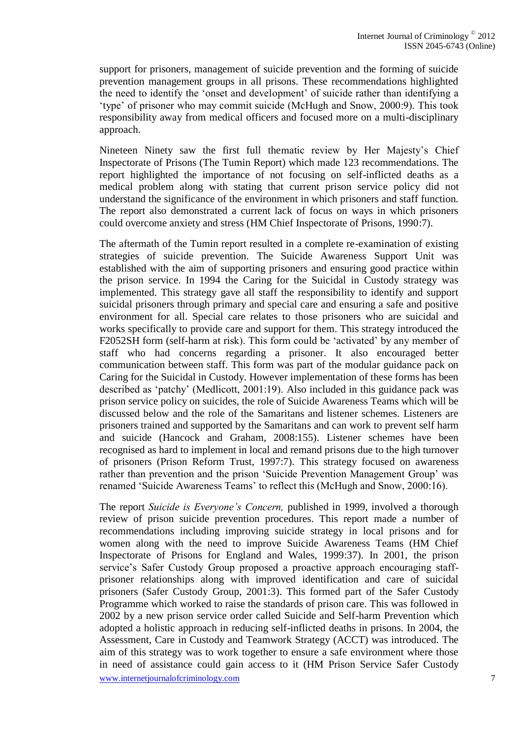support for prisoners, management of suicide prevention and the forming of suicide prevention management groups in all prisons. These recommendations highlighted the need to identify the 'onset and development' of suicide rather than identifying a 'type' of prisoner who may commit suicide (McHugh and Snow, 2000:9). This took responsibility away from medical officers and focused more on a multi-disciplinary approach.

Nineteen Ninety saw the first full thematic review by Her Majesty's Chief Inspectorate of Prisons (The Tumin Report) which made 123 recommendations. The report highlighted the importance of not focusing on self-inflicted deaths as a medical problem along with stating that current prison service policy did not understand the significance of the environment in which prisoners and staff function. The report also demonstrated a current lack of focus on ways in which prisoners could overcome anxiety and stress (HM Chief Inspectorate of Prisons, 1990:7).

The aftermath of the Tumin report resulted in a complete re-examination of existing strategies of suicide prevention. The Suicide Awareness Support Unit was established with the aim of supporting prisoners and ensuring good practice within the prison service. In 1994 the Caring for the Suicidal in Custody strategy was implemented. This strategy gave all staff the responsibility to identify and support suicidal prisoners through primary and special care and ensuring a safe and positive environment for all. Special care relates to those prisoners who are suicidal and works specifically to provide care and support for them. This strategy introduced the F2052SH form (self-harm at risk). This form could be 'activated' by any member of staff who had concerns regarding a prisoner. It also encouraged better communication between staff. This form was part of the modular guidance pack on Caring for the Suicidal in Custody. However implementation of these forms has been described as 'patchy' (Medlicott, 2001:19). Also included in this guidance pack was prison service policy on suicides, the role of Suicide Awareness Teams which will be discussed below and the role of the Samaritans and listener schemes. Listeners are prisoners trained and supported by the Samaritans and can work to prevent self harm and suicide (Hancock and Graham, 2008:155). Listener schemes have been recognised as hard to implement in local and remand prisons due to the high turnover of prisoners (Prison Reform Trust, 1997:7). This strategy focused on awareness rather than prevention and the prison 'Suicide Prevention Management Group' was renamed 'Suicide Awareness Teams' to reflect this (McHugh and Snow, 2000:16).

www.internetiournalofcriminology.com 7 The report *Suicide is Everyone's Concern,* published in 1999, involved a thorough review of prison suicide prevention procedures. This report made a number of recommendations including improving suicide strategy in local prisons and for women along with the need to improve Suicide Awareness Teams (HM Chief Inspectorate of Prisons for England and Wales, 1999:37). In 2001, the prison service's Safer Custody Group proposed a proactive approach encouraging staffprisoner relationships along with improved identification and care of suicidal prisoners (Safer Custody Group, 2001:3). This formed part of the Safer Custody Programme which worked to raise the standards of prison care. This was followed in 2002 by a new prison service order called Suicide and Self-harm Prevention which adopted a holistic approach in reducing self-inflicted deaths in prisons. In 2004, the Assessment, Care in Custody and Teamwork Strategy (ACCT) was introduced. The aim of this strategy was to work together to ensure a safe environment where those in need of assistance could gain access to it (HM Prison Service Safer Custody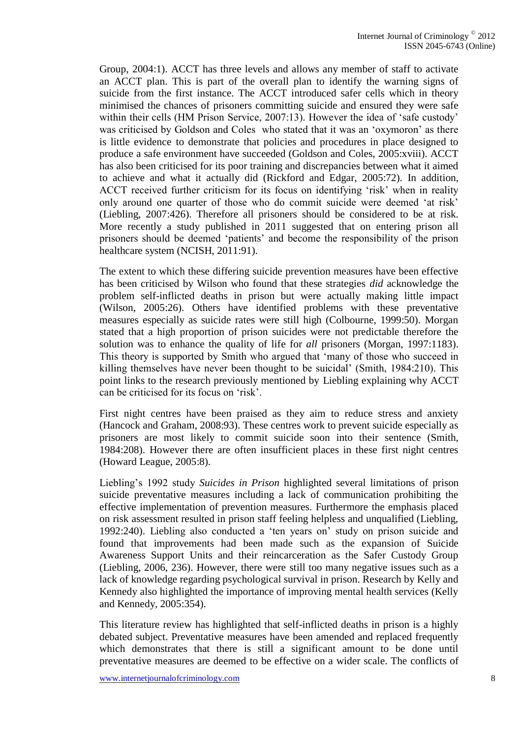Group, 2004:1). ACCT has three levels and allows any member of staff to activate an ACCT plan. This is part of the overall plan to identify the warning signs of suicide from the first instance. The ACCT introduced safer cells which in theory minimised the chances of prisoners committing suicide and ensured they were safe within their cells (HM Prison Service, 2007:13). However the idea of 'safe custody' was criticised by Goldson and Coles who stated that it was an 'oxymoron' as there is little evidence to demonstrate that policies and procedures in place designed to produce a safe environment have succeeded (Goldson and Coles, 2005:xviii). ACCT has also been criticised for its poor training and discrepancies between what it aimed to achieve and what it actually did (Rickford and Edgar, 2005:72). In addition, ACCT received further criticism for its focus on identifying 'risk' when in reality only around one quarter of those who do commit suicide were deemed 'at risk' (Liebling, 2007:426). Therefore all prisoners should be considered to be at risk. More recently a study published in 2011 suggested that on entering prison all prisoners should be deemed 'patients' and become the responsibility of the prison healthcare system (NCISH, 2011:91).

The extent to which these differing suicide prevention measures have been effective has been criticised by Wilson who found that these strategies *did* acknowledge the problem self-inflicted deaths in prison but were actually making little impact (Wilson, 2005:26). Others have identified problems with these preventative measures especially as suicide rates were still high (Colbourne, 1999:50). Morgan stated that a high proportion of prison suicides were not predictable therefore the solution was to enhance the quality of life for *all* prisoners (Morgan, 1997:1183). This theory is supported by Smith who argued that 'many of those who succeed in killing themselves have never been thought to be suicidal' (Smith, 1984:210). This point links to the research previously mentioned by Liebling explaining why ACCT can be criticised for its focus on 'risk'.

First night centres have been praised as they aim to reduce stress and anxiety (Hancock and Graham, 2008:93). These centres work to prevent suicide especially as prisoners are most likely to commit suicide soon into their sentence (Smith, 1984:208). However there are often insufficient places in these first night centres (Howard League, 2005:8).

Liebling's 1992 study *Suicides in Prison* highlighted several limitations of prison suicide preventative measures including a lack of communication prohibiting the effective implementation of prevention measures. Furthermore the emphasis placed on risk assessment resulted in prison staff feeling helpless and unqualified (Liebling, 1992:240). Liebling also conducted a 'ten years on' study on prison suicide and found that improvements had been made such as the expansion of Suicide Awareness Support Units and their reincarceration as the Safer Custody Group (Liebling, 2006, 236). However, there were still too many negative issues such as a lack of knowledge regarding psychological survival in prison. Research by Kelly and Kennedy also highlighted the importance of improving mental health services (Kelly and Kennedy, 2005:354).

This literature review has highlighted that self-inflicted deaths in prison is a highly debated subject. Preventative measures have been amended and replaced frequently which demonstrates that there is still a significant amount to be done until preventative measures are deemed to be effective on a wider scale. The conflicts of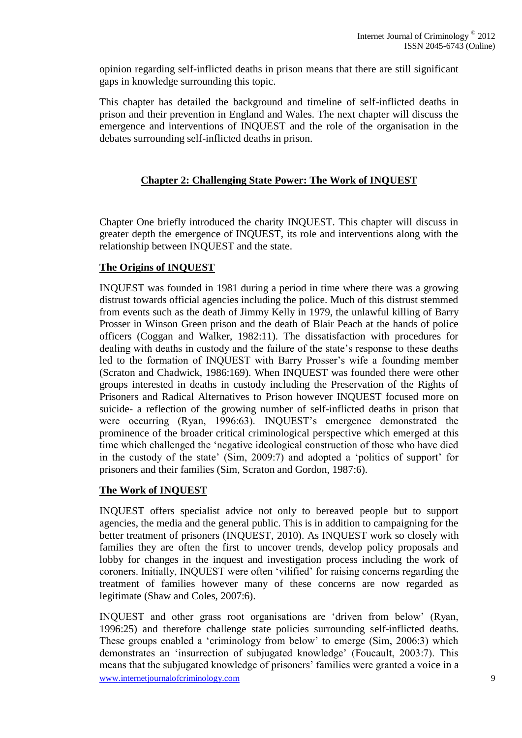opinion regarding self-inflicted deaths in prison means that there are still significant gaps in knowledge surrounding this topic.

This chapter has detailed the background and timeline of self-inflicted deaths in prison and their prevention in England and Wales. The next chapter will discuss the emergence and interventions of INQUEST and the role of the organisation in the debates surrounding self-inflicted deaths in prison.

### **Chapter 2: Challenging State Power: The Work of INQUEST**

Chapter One briefly introduced the charity INQUEST. This chapter will discuss in greater depth the emergence of INQUEST, its role and interventions along with the relationship between INQUEST and the state.

### **The Origins of INQUEST**

INQUEST was founded in 1981 during a period in time where there was a growing distrust towards official agencies including the police. Much of this distrust stemmed from events such as the death of Jimmy Kelly in 1979, the unlawful killing of Barry Prosser in Winson Green prison and the death of Blair Peach at the hands of police officers (Coggan and Walker, 1982:11). The dissatisfaction with procedures for dealing with deaths in custody and the failure of the state's response to these deaths led to the formation of INQUEST with Barry Prosser's wife a founding member (Scraton and Chadwick, 1986:169). When INQUEST was founded there were other groups interested in deaths in custody including the Preservation of the Rights of Prisoners and Radical Alternatives to Prison however INQUEST focused more on suicide- a reflection of the growing number of self-inflicted deaths in prison that were occurring (Ryan, 1996:63). INQUEST's emergence demonstrated the prominence of the broader critical criminological perspective which emerged at this time which challenged the 'negative ideological construction of those who have died in the custody of the state' (Sim, 2009:7) and adopted a 'politics of support' for prisoners and their families (Sim, Scraton and Gordon, 1987:6).

#### **The Work of INQUEST**

INQUEST offers specialist advice not only to bereaved people but to support agencies, the media and the general public. This is in addition to campaigning for the better treatment of prisoners (INQUEST, 2010). As INQUEST work so closely with families they are often the first to uncover trends, develop policy proposals and lobby for changes in the inquest and investigation process including the work of coroners. Initially, INQUEST were often 'vilified' for raising concerns regarding the treatment of families however many of these concerns are now regarded as legitimate (Shaw and Coles, 2007:6).

www.internetiournalofcriminology.com 9 INQUEST and other grass root organisations are 'driven from below' (Ryan, 1996:25) and therefore challenge state policies surrounding self-inflicted deaths. These groups enabled a 'criminology from below' to emerge (Sim, 2006:3) which demonstrates an 'insurrection of subjugated knowledge' (Foucault, 2003:7). This means that the subjugated knowledge of prisoners' families were granted a voice in a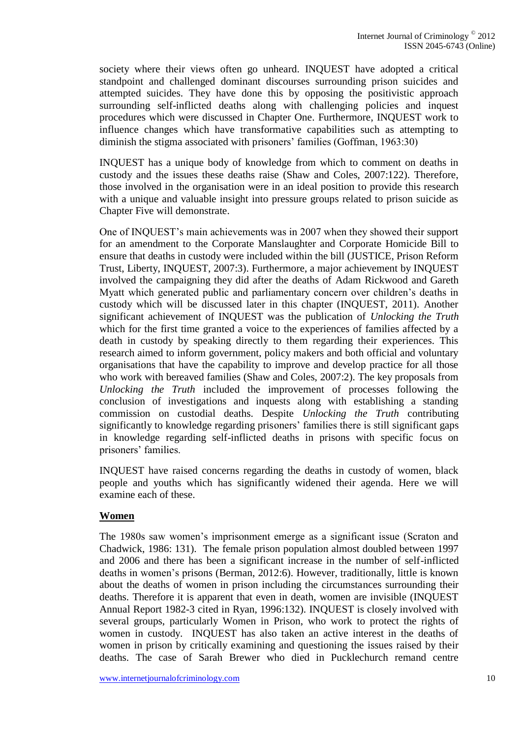society where their views often go unheard. INQUEST have adopted a critical standpoint and challenged dominant discourses surrounding prison suicides and attempted suicides. They have done this by opposing the positivistic approach surrounding self-inflicted deaths along with challenging policies and inquest procedures which were discussed in Chapter One. Furthermore, INQUEST work to influence changes which have transformative capabilities such as attempting to diminish the stigma associated with prisoners' families (Goffman, 1963:30)

INQUEST has a unique body of knowledge from which to comment on deaths in custody and the issues these deaths raise (Shaw and Coles, 2007:122). Therefore, those involved in the organisation were in an ideal position to provide this research with a unique and valuable insight into pressure groups related to prison suicide as Chapter Five will demonstrate.

One of INQUEST's main achievements was in 2007 when they showed their support for an amendment to the Corporate Manslaughter and Corporate Homicide Bill to ensure that deaths in custody were included within the bill (JUSTICE, Prison Reform Trust, Liberty, INQUEST, 2007:3). Furthermore, a major achievement by INQUEST involved the campaigning they did after the deaths of Adam Rickwood and Gareth Myatt which generated public and parliamentary concern over children's deaths in custody which will be discussed later in this chapter (INQUEST, 2011). Another significant achievement of INQUEST was the publication of *Unlocking the Truth* which for the first time granted a voice to the experiences of families affected by a death in custody by speaking directly to them regarding their experiences. This research aimed to inform government, policy makers and both official and voluntary organisations that have the capability to improve and develop practice for all those who work with bereaved families (Shaw and Coles, 2007:2). The key proposals from *Unlocking the Truth* included the improvement of processes following the conclusion of investigations and inquests along with establishing a standing commission on custodial deaths. Despite *Unlocking the Truth* contributing significantly to knowledge regarding prisoners' families there is still significant gaps in knowledge regarding self-inflicted deaths in prisons with specific focus on prisoners' families.

INQUEST have raised concerns regarding the deaths in custody of women, black people and youths which has significantly widened their agenda. Here we will examine each of these.

#### **Women**

The 1980s saw women's imprisonment emerge as a significant issue (Scraton and Chadwick, 1986: 131). The female prison population almost doubled between 1997 and 2006 and there has been a significant increase in the number of self-inflicted deaths in women's prisons (Berman, 2012:6). However, traditionally, little is known about the deaths of women in prison including the circumstances surrounding their deaths. Therefore it is apparent that even in death, women are invisible (INQUEST Annual Report 1982-3 cited in Ryan, 1996:132). INQUEST is closely involved with several groups, particularly Women in Prison, who work to protect the rights of women in custody. INQUEST has also taken an active interest in the deaths of women in prison by critically examining and questioning the issues raised by their deaths. The case of Sarah Brewer who died in Pucklechurch remand centre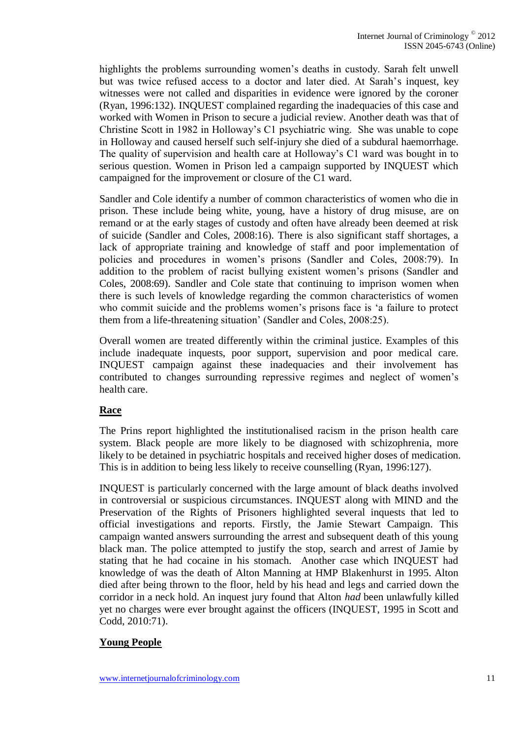highlights the problems surrounding women's deaths in custody. Sarah felt unwell but was twice refused access to a doctor and later died. At Sarah's inquest, key witnesses were not called and disparities in evidence were ignored by the coroner (Ryan, 1996:132). INQUEST complained regarding the inadequacies of this case and worked with Women in Prison to secure a judicial review. Another death was that of Christine Scott in 1982 in Holloway's C1 psychiatric wing. She was unable to cope in Holloway and caused herself such self-injury she died of a subdural haemorrhage. The quality of supervision and health care at Holloway's C1 ward was bought in to serious question. Women in Prison led a campaign supported by INQUEST which campaigned for the improvement or closure of the C1 ward.

Sandler and Cole identify a number of common characteristics of women who die in prison. These include being white, young, have a history of drug misuse, are on remand or at the early stages of custody and often have already been deemed at risk of suicide (Sandler and Coles, 2008:16). There is also significant staff shortages, a lack of appropriate training and knowledge of staff and poor implementation of policies and procedures in women's prisons (Sandler and Coles, 2008:79). In addition to the problem of racist bullying existent women's prisons (Sandler and Coles, 2008:69). Sandler and Cole state that continuing to imprison women when there is such levels of knowledge regarding the common characteristics of women who commit suicide and the problems women's prisons face is 'a failure to protect them from a life-threatening situation' (Sandler and Coles, 2008:25).

Overall women are treated differently within the criminal justice. Examples of this include inadequate inquests, poor support, supervision and poor medical care. INQUEST campaign against these inadequacies and their involvement has contributed to changes surrounding repressive regimes and neglect of women's health care.

## **Race**

The Prins report highlighted the institutionalised racism in the prison health care system. Black people are more likely to be diagnosed with schizophrenia, more likely to be detained in psychiatric hospitals and received higher doses of medication. This is in addition to being less likely to receive counselling (Ryan, 1996:127).

INQUEST is particularly concerned with the large amount of black deaths involved in controversial or suspicious circumstances. INQUEST along with MIND and the Preservation of the Rights of Prisoners highlighted several inquests that led to official investigations and reports. Firstly, the Jamie Stewart Campaign. This campaign wanted answers surrounding the arrest and subsequent death of this young black man. The police attempted to justify the stop, search and arrest of Jamie by stating that he had cocaine in his stomach. Another case which INQUEST had knowledge of was the death of Alton Manning at HMP Blakenhurst in 1995. Alton died after being thrown to the floor, held by his head and legs and carried down the corridor in a neck hold. An inquest jury found that Alton *had* been unlawfully killed yet no charges were ever brought against the officers (INQUEST, 1995 in Scott and Codd, 2010:71).

## **Young People**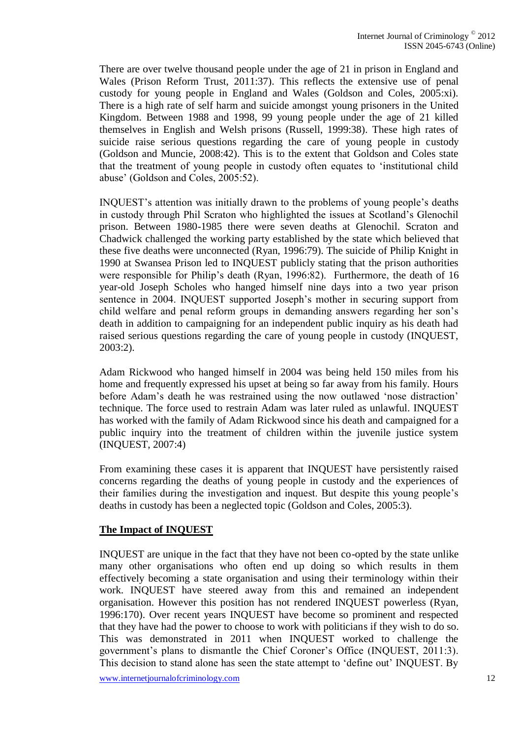There are over twelve thousand people under the age of 21 in prison in England and Wales (Prison Reform Trust, 2011:37). This reflects the extensive use of penal custody for young people in England and Wales (Goldson and Coles, 2005:xi). There is a high rate of self harm and suicide amongst young prisoners in the United Kingdom. Between 1988 and 1998, 99 young people under the age of 21 killed themselves in English and Welsh prisons (Russell, 1999:38). These high rates of suicide raise serious questions regarding the care of young people in custody (Goldson and Muncie, 2008:42). This is to the extent that Goldson and Coles state that the treatment of young people in custody often equates to 'institutional child abuse' (Goldson and Coles, 2005:52).

INQUEST's attention was initially drawn to the problems of young people's deaths in custody through Phil Scraton who highlighted the issues at Scotland's Glenochil prison. Between 1980-1985 there were seven deaths at Glenochil. Scraton and Chadwick challenged the working party established by the state which believed that these five deaths were unconnected (Ryan, 1996:79). The suicide of Philip Knight in 1990 at Swansea Prison led to INQUEST publicly stating that the prison authorities were responsible for Philip's death (Ryan, 1996:82). Furthermore, the death of 16 year-old Joseph Scholes who hanged himself nine days into a two year prison sentence in 2004. INQUEST supported Joseph's mother in securing support from child welfare and penal reform groups in demanding answers regarding her son's death in addition to campaigning for an independent public inquiry as his death had raised serious questions regarding the care of young people in custody (INQUEST, 2003:2).

Adam Rickwood who hanged himself in 2004 was being held 150 miles from his home and frequently expressed his upset at being so far away from his family. Hours before Adam's death he was restrained using the now outlawed 'nose distraction' technique. The force used to restrain Adam was later ruled as unlawful. INQUEST has worked with the family of Adam Rickwood since his death and campaigned for a public inquiry into the treatment of children within the juvenile justice system (INQUEST, 2007:4)

From examining these cases it is apparent that INQUEST have persistently raised concerns regarding the deaths of young people in custody and the experiences of their families during the investigation and inquest. But despite this young people's deaths in custody has been a neglected topic (Goldson and Coles, 2005:3).

## **The Impact of INQUEST**

INQUEST are unique in the fact that they have not been co-opted by the state unlike many other organisations who often end up doing so which results in them effectively becoming a state organisation and using their terminology within their work. INQUEST have steered away from this and remained an independent organisation. However this position has not rendered INQUEST powerless (Ryan, 1996:170). Over recent years INQUEST have become so prominent and respected that they have had the power to choose to work with politicians if they wish to do so. This was demonstrated in 2011 when INQUEST worked to challenge the government's plans to dismantle the Chief Coroner's Office (INQUEST, 2011:3). This decision to stand alone has seen the state attempt to 'define out' INQUEST. By

www.internetiournalofcriminology.com 12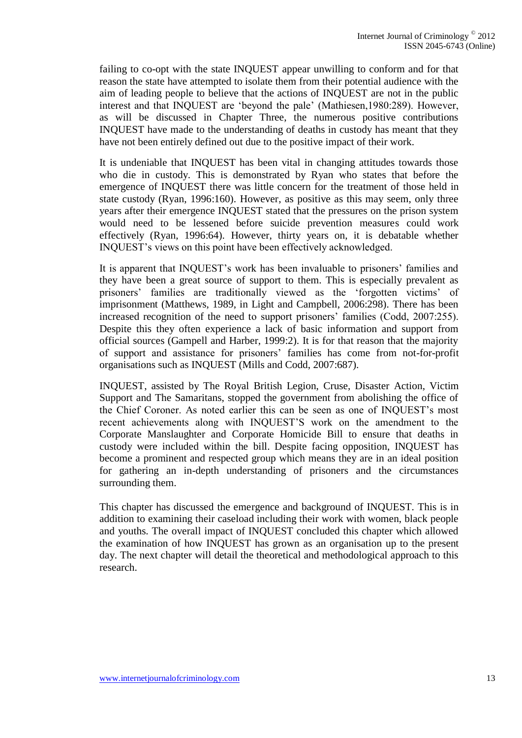failing to co-opt with the state INQUEST appear unwilling to conform and for that reason the state have attempted to isolate them from their potential audience with the aim of leading people to believe that the actions of INQUEST are not in the public interest and that INQUEST are 'beyond the pale' (Mathiesen,1980:289). However, as will be discussed in Chapter Three, the numerous positive contributions INQUEST have made to the understanding of deaths in custody has meant that they have not been entirely defined out due to the positive impact of their work.

It is undeniable that INQUEST has been vital in changing attitudes towards those who die in custody. This is demonstrated by Ryan who states that before the emergence of INQUEST there was little concern for the treatment of those held in state custody (Ryan, 1996:160). However, as positive as this may seem, only three years after their emergence INQUEST stated that the pressures on the prison system would need to be lessened before suicide prevention measures could work effectively (Ryan, 1996:64). However, thirty years on, it is debatable whether INQUEST's views on this point have been effectively acknowledged.

It is apparent that INQUEST's work has been invaluable to prisoners' families and they have been a great source of support to them. This is especially prevalent as prisoners' families are traditionally viewed as the 'forgotten victims' of imprisonment (Matthews, 1989, in Light and Campbell, 2006:298). There has been increased recognition of the need to support prisoners' families (Codd, 2007:255). Despite this they often experience a lack of basic information and support from official sources (Gampell and Harber, 1999:2). It is for that reason that the majority of support and assistance for prisoners' families has come from not-for-profit organisations such as INQUEST (Mills and Codd, 2007:687).

INQUEST, assisted by The Royal British Legion, Cruse, Disaster Action, Victim Support and The Samaritans, stopped the government from abolishing the office of the Chief Coroner. As noted earlier this can be seen as one of INQUEST's most recent achievements along with INQUEST'S work on the amendment to the Corporate Manslaughter and Corporate Homicide Bill to ensure that deaths in custody were included within the bill. Despite facing opposition, INQUEST has become a prominent and respected group which means they are in an ideal position for gathering an in-depth understanding of prisoners and the circumstances surrounding them.

This chapter has discussed the emergence and background of INQUEST. This is in addition to examining their caseload including their work with women, black people and youths. The overall impact of INQUEST concluded this chapter which allowed the examination of how INQUEST has grown as an organisation up to the present day. The next chapter will detail the theoretical and methodological approach to this research.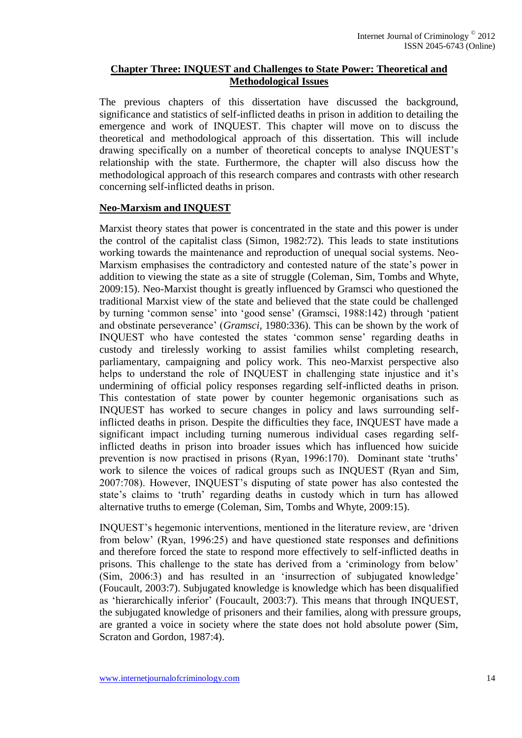## **Chapter Three: INQUEST and Challenges to State Power: Theoretical and Methodological Issues**

The previous chapters of this dissertation have discussed the background, significance and statistics of self-inflicted deaths in prison in addition to detailing the emergence and work of INQUEST. This chapter will move on to discuss the theoretical and methodological approach of this dissertation. This will include drawing specifically on a number of theoretical concepts to analyse INQUEST's relationship with the state. Furthermore, the chapter will also discuss how the methodological approach of this research compares and contrasts with other research concerning self-inflicted deaths in prison.

### **Neo-Marxism and INQUEST**

Marxist theory states that power is concentrated in the state and this power is under the control of the capitalist class (Simon, 1982:72). This leads to state institutions working towards the maintenance and reproduction of unequal social systems. Neo-Marxism emphasises the contradictory and contested nature of the state's power in addition to viewing the state as a site of struggle (Coleman, Sim, Tombs and Whyte, 2009:15). Neo-Marxist thought is greatly influenced by Gramsci who questioned the traditional Marxist view of the state and believed that the state could be challenged by turning 'common sense' into 'good sense' (Gramsci, 1988:142) through 'patient and obstinate perseverance' (*Gramsci,* 1980:336). This can be shown by the work of INQUEST who have contested the states 'common sense' regarding deaths in custody and tirelessly working to assist families whilst completing research, parliamentary, campaigning and policy work. This neo-Marxist perspective also helps to understand the role of INQUEST in challenging state injustice and it's undermining of official policy responses regarding self-inflicted deaths in prison. This contestation of state power by counter hegemonic organisations such as INQUEST has worked to secure changes in policy and laws surrounding selfinflicted deaths in prison. Despite the difficulties they face, INQUEST have made a significant impact including turning numerous individual cases regarding selfinflicted deaths in prison into broader issues which has influenced how suicide prevention is now practised in prisons (Ryan, 1996:170). Dominant state 'truths' work to silence the voices of radical groups such as INQUEST (Ryan and Sim, 2007:708). However, INQUEST's disputing of state power has also contested the state's claims to 'truth' regarding deaths in custody which in turn has allowed alternative truths to emerge (Coleman, Sim, Tombs and Whyte, 2009:15).

INQUEST's hegemonic interventions, mentioned in the literature review, are 'driven from below' (Ryan, 1996:25) and have questioned state responses and definitions and therefore forced the state to respond more effectively to self-inflicted deaths in prisons. This challenge to the state has derived from a 'criminology from below' (Sim, 2006:3) and has resulted in an 'insurrection of subjugated knowledge' (Foucault, 2003:7). Subjugated knowledge is knowledge which has been disqualified as 'hierarchically inferior' (Foucault, 2003:7). This means that through INQUEST, the subjugated knowledge of prisoners and their families, along with pressure groups, are granted a voice in society where the state does not hold absolute power (Sim, Scraton and Gordon, 1987:4).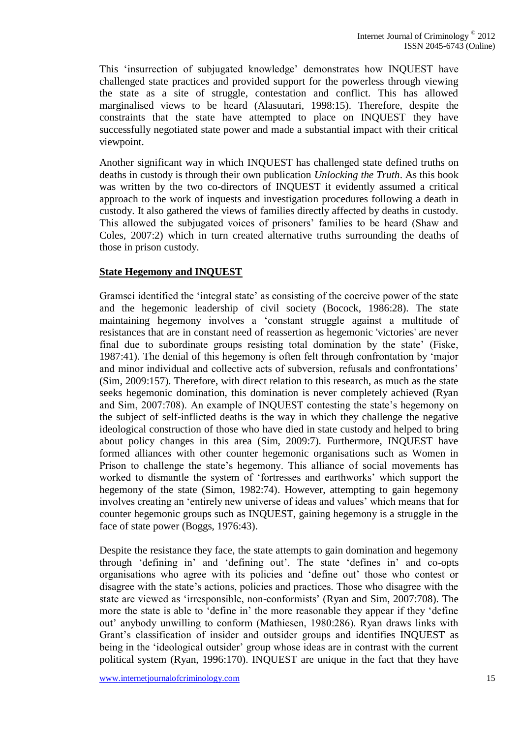This 'insurrection of subjugated knowledge' demonstrates how INQUEST have challenged state practices and provided support for the powerless through viewing the state as a site of struggle, contestation and conflict. This has allowed marginalised views to be heard (Alasuutari, 1998:15). Therefore, despite the constraints that the state have attempted to place on INQUEST they have successfully negotiated state power and made a substantial impact with their critical viewpoint.

Another significant way in which INQUEST has challenged state defined truths on deaths in custody is through their own publication *Unlocking the Truth*. As this book was written by the two co-directors of INQUEST it evidently assumed a critical approach to the work of inquests and investigation procedures following a death in custody. It also gathered the views of families directly affected by deaths in custody. This allowed the subjugated voices of prisoners' families to be heard (Shaw and Coles, 2007:2) which in turn created alternative truths surrounding the deaths of those in prison custody.

## **State Hegemony and INQUEST**

Gramsci identified the 'integral state' as consisting of the coercive power of the state and the hegemonic leadership of civil society (Bocock, 1986:28). The state maintaining hegemony involves a 'constant struggle against a multitude of resistances that are in constant need of reassertion as hegemonic 'victories' are never final due to subordinate groups resisting total domination by the state' (Fiske, 1987:41). The denial of this hegemony is often felt through confrontation by 'major and minor individual and collective acts of subversion, refusals and confrontations' (Sim, 2009:157). Therefore, with direct relation to this research, as much as the state seeks hegemonic domination, this domination is never completely achieved (Ryan and Sim, 2007:708). An example of INQUEST contesting the state's hegemony on the subject of self-inflicted deaths is the way in which they challenge the negative ideological construction of those who have died in state custody and helped to bring about policy changes in this area (Sim, 2009:7). Furthermore, INQUEST have formed alliances with other counter hegemonic organisations such as Women in Prison to challenge the state's hegemony. This alliance of social movements has worked to dismantle the system of 'fortresses and earthworks' which support the hegemony of the state (Simon, 1982:74). However, attempting to gain hegemony involves creating an 'entirely new universe of ideas and values' which means that for counter hegemonic groups such as INQUEST, gaining hegemony is a struggle in the face of state power (Boggs, 1976:43).

Despite the resistance they face, the state attempts to gain domination and hegemony through 'defining in' and 'defining out'. The state 'defines in' and co-opts organisations who agree with its policies and 'define out' those who contest or disagree with the state's actions, policies and practices. Those who disagree with the state are viewed as 'irresponsible, non-conformists' (Ryan and Sim, 2007:708). The more the state is able to 'define in' the more reasonable they appear if they 'define out' anybody unwilling to conform (Mathiesen, 1980:286). Ryan draws links with Grant's classification of insider and outsider groups and identifies INQUEST as being in the 'ideological outsider' group whose ideas are in contrast with the current political system (Ryan, 1996:170). INQUEST are unique in the fact that they have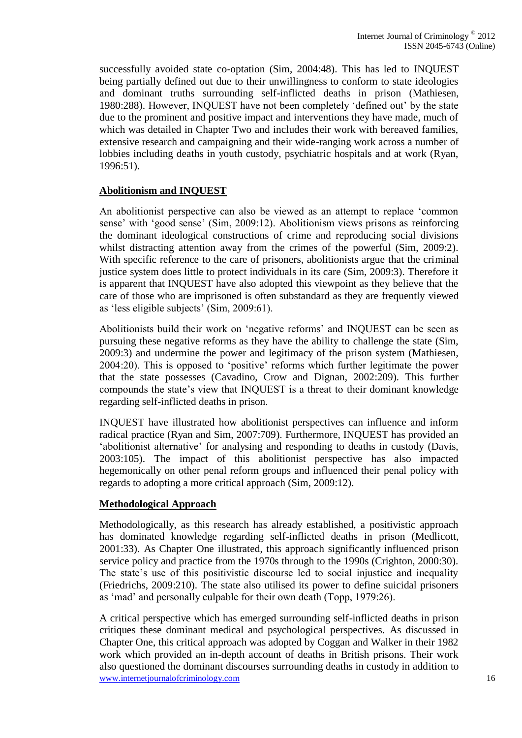successfully avoided state co-optation (Sim, 2004:48). This has led to INQUEST being partially defined out due to their unwillingness to conform to state ideologies and dominant truths surrounding self-inflicted deaths in prison (Mathiesen, 1980:288). However, INQUEST have not been completely 'defined out' by the state due to the prominent and positive impact and interventions they have made, much of which was detailed in Chapter Two and includes their work with bereaved families, extensive research and campaigning and their wide-ranging work across a number of lobbies including deaths in youth custody, psychiatric hospitals and at work (Ryan, 1996:51).

## **Abolitionism and INQUEST**

An abolitionist perspective can also be viewed as an attempt to replace 'common sense' with 'good sense' (Sim, 2009:12). Abolitionism views prisons as reinforcing the dominant ideological constructions of crime and reproducing social divisions whilst distracting attention away from the crimes of the powerful (Sim, 2009:2). With specific reference to the care of prisoners, abolitionists argue that the criminal justice system does little to protect individuals in its care (Sim, 2009:3). Therefore it is apparent that INQUEST have also adopted this viewpoint as they believe that the care of those who are imprisoned is often substandard as they are frequently viewed as 'less eligible subjects' (Sim, 2009:61).

Abolitionists build their work on 'negative reforms' and INQUEST can be seen as pursuing these negative reforms as they have the ability to challenge the state (Sim, 2009:3) and undermine the power and legitimacy of the prison system (Mathiesen, 2004:20). This is opposed to 'positive' reforms which further legitimate the power that the state possesses (Cavadino, Crow and Dignan, 2002:209). This further compounds the state's view that INQUEST is a threat to their dominant knowledge regarding self-inflicted deaths in prison.

INQUEST have illustrated how abolitionist perspectives can influence and inform radical practice (Ryan and Sim, 2007:709). Furthermore, INQUEST has provided an 'abolitionist alternative' for analysing and responding to deaths in custody (Davis, 2003:105). The impact of this abolitionist perspective has also impacted hegemonically on other penal reform groups and influenced their penal policy with regards to adopting a more critical approach (Sim, 2009:12).

## **Methodological Approach**

Methodologically, as this research has already established, a positivistic approach has dominated knowledge regarding self-inflicted deaths in prison (Medlicott, 2001:33). As Chapter One illustrated, this approach significantly influenced prison service policy and practice from the 1970s through to the 1990s (Crighton, 2000:30). The state's use of this positivistic discourse led to social injustice and inequality (Friedrichs, 2009:210). The state also utilised its power to define suicidal prisoners as 'mad' and personally culpable for their own death (Topp, 1979:26).

www.internetjournalofcriminology.com 16 A critical perspective which has emerged surrounding self-inflicted deaths in prison critiques these dominant medical and psychological perspectives. As discussed in Chapter One, this critical approach was adopted by Coggan and Walker in their 1982 work which provided an in-depth account of deaths in British prisons. Their work also questioned the dominant discourses surrounding deaths in custody in addition to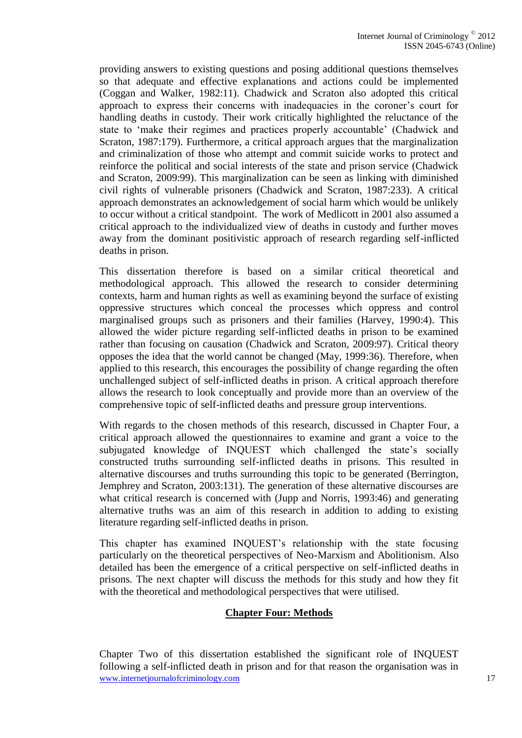providing answers to existing questions and posing additional questions themselves so that adequate and effective explanations and actions could be implemented (Coggan and Walker, 1982:11). Chadwick and Scraton also adopted this critical approach to express their concerns with inadequacies in the coroner's court for handling deaths in custody. Their work critically highlighted the reluctance of the state to 'make their regimes and practices properly accountable' (Chadwick and Scraton, 1987:179). Furthermore, a critical approach argues that the marginalization and criminalization of those who attempt and commit suicide works to protect and reinforce the political and social interests of the state and prison service (Chadwick and Scraton, 2009:99). This marginalization can be seen as linking with diminished civil rights of vulnerable prisoners (Chadwick and Scraton, 1987:233). A critical approach demonstrates an acknowledgement of social harm which would be unlikely to occur without a critical standpoint. The work of Medlicott in 2001 also assumed a critical approach to the individualized view of deaths in custody and further moves away from the dominant positivistic approach of research regarding self-inflicted deaths in prison.

This dissertation therefore is based on a similar critical theoretical and methodological approach. This allowed the research to consider determining contexts, harm and human rights as well as examining beyond the surface of existing oppressive structures which conceal the processes which oppress and control marginalised groups such as prisoners and their families (Harvey, 1990:4). This allowed the wider picture regarding self-inflicted deaths in prison to be examined rather than focusing on causation (Chadwick and Scraton, 2009:97). Critical theory opposes the idea that the world cannot be changed (May, 1999:36). Therefore, when applied to this research, this encourages the possibility of change regarding the often unchallenged subject of self-inflicted deaths in prison. A critical approach therefore allows the research to look conceptually and provide more than an overview of the comprehensive topic of self-inflicted deaths and pressure group interventions.

With regards to the chosen methods of this research, discussed in Chapter Four, a critical approach allowed the questionnaires to examine and grant a voice to the subjugated knowledge of INQUEST which challenged the state's socially constructed truths surrounding self-inflicted deaths in prisons. This resulted in alternative discourses and truths surrounding this topic to be generated (Berrington, Jemphrey and Scraton, 2003:131). The generation of these alternative discourses are what critical research is concerned with (Jupp and Norris, 1993:46) and generating alternative truths was an aim of this research in addition to adding to existing literature regarding self-inflicted deaths in prison.

This chapter has examined INQUEST's relationship with the state focusing particularly on the theoretical perspectives of Neo-Marxism and Abolitionism. Also detailed has been the emergence of a critical perspective on self-inflicted deaths in prisons. The next chapter will discuss the methods for this study and how they fit with the theoretical and methodological perspectives that were utilised.

## **Chapter Four: Methods**

www.internetjournalofcriminology.com 17 Chapter Two of this dissertation established the significant role of INQUEST following a self-inflicted death in prison and for that reason the organisation was in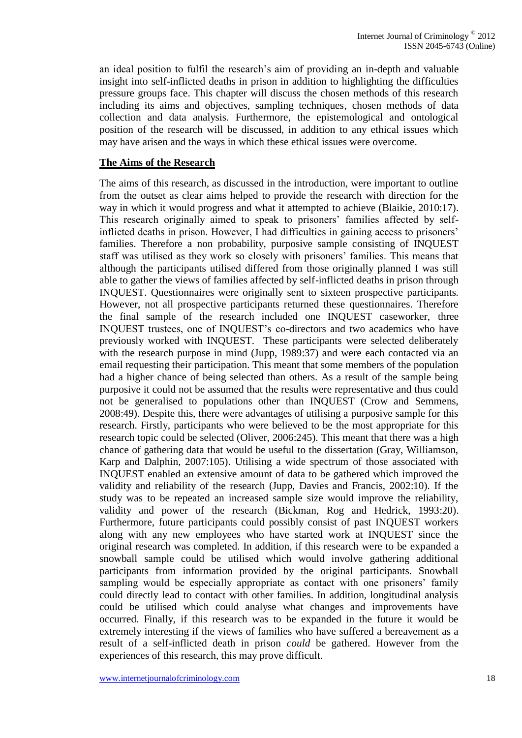an ideal position to fulfil the research's aim of providing an in-depth and valuable insight into self-inflicted deaths in prison in addition to highlighting the difficulties pressure groups face. This chapter will discuss the chosen methods of this research including its aims and objectives, sampling techniques, chosen methods of data collection and data analysis. Furthermore, the epistemological and ontological position of the research will be discussed, in addition to any ethical issues which may have arisen and the ways in which these ethical issues were overcome.

#### **The Aims of the Research**

The aims of this research, as discussed in the introduction, were important to outline from the outset as clear aims helped to provide the research with direction for the way in which it would progress and what it attempted to achieve (Blaikie, 2010:17). This research originally aimed to speak to prisoners' families affected by selfinflicted deaths in prison. However, I had difficulties in gaining access to prisoners' families. Therefore a non probability, purposive sample consisting of INQUEST staff was utilised as they work so closely with prisoners' families. This means that although the participants utilised differed from those originally planned I was still able to gather the views of families affected by self-inflicted deaths in prison through INQUEST. Questionnaires were originally sent to sixteen prospective participants. However, not all prospective participants returned these questionnaires. Therefore the final sample of the research included one INQUEST caseworker, three INQUEST trustees, one of INQUEST's co-directors and two academics who have previously worked with INQUEST. These participants were selected deliberately with the research purpose in mind (Jupp, 1989:37) and were each contacted via an email requesting their participation. This meant that some members of the population had a higher chance of being selected than others. As a result of the sample being purposive it could not be assumed that the results were representative and thus could not be generalised to populations other than INQUEST (Crow and Semmens, 2008:49). Despite this, there were advantages of utilising a purposive sample for this research. Firstly, participants who were believed to be the most appropriate for this research topic could be selected (Oliver, 2006:245). This meant that there was a high chance of gathering data that would be useful to the dissertation (Gray, Williamson, Karp and Dalphin, 2007:105). Utilising a wide spectrum of those associated with INQUEST enabled an extensive amount of data to be gathered which improved the validity and reliability of the research (Jupp, Davies and Francis, 2002:10). If the study was to be repeated an increased sample size would improve the reliability, validity and power of the research (Bickman, Rog and Hedrick, 1993:20). Furthermore, future participants could possibly consist of past INQUEST workers along with any new employees who have started work at INQUEST since the original research was completed. In addition, if this research were to be expanded a snowball sample could be utilised which would involve gathering additional participants from information provided by the original participants. Snowball sampling would be especially appropriate as contact with one prisoners' family could directly lead to contact with other families. In addition, longitudinal analysis could be utilised which could analyse what changes and improvements have occurred. Finally, if this research was to be expanded in the future it would be extremely interesting if the views of families who have suffered a bereavement as a result of a self-inflicted death in prison *could* be gathered. However from the experiences of this research, this may prove difficult.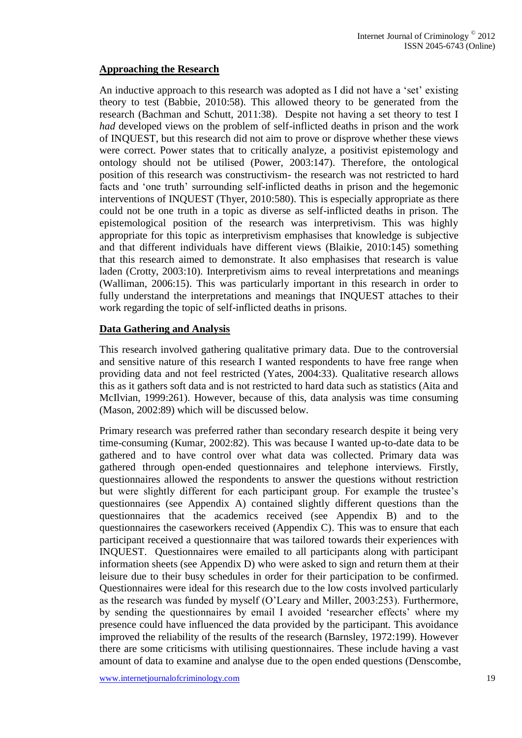## **Approaching the Research**

An inductive approach to this research was adopted as I did not have a 'set' existing theory to test (Babbie, 2010:58). This allowed theory to be generated from the research (Bachman and Schutt, 2011:38). Despite not having a set theory to test I *had* developed views on the problem of self-inflicted deaths in prison and the work of INQUEST, but this research did not aim to prove or disprove whether these views were correct. Power states that to critically analyze, a positivist epistemology and ontology should not be utilised (Power, 2003:147). Therefore, the ontological position of this research was constructivism- the research was not restricted to hard facts and 'one truth' surrounding self-inflicted deaths in prison and the hegemonic interventions of INQUEST (Thyer, 2010:580). This is especially appropriate as there could not be one truth in a topic as diverse as self-inflicted deaths in prison. The epistemological position of the research was interpretivism. This was highly appropriate for this topic as interpretivism emphasises that knowledge is subjective and that different individuals have different views (Blaikie, 2010:145) something that this research aimed to demonstrate. It also emphasises that research is value laden (Crotty, 2003:10). Interpretivism aims to reveal interpretations and meanings (Walliman, 2006:15). This was particularly important in this research in order to fully understand the interpretations and meanings that INQUEST attaches to their work regarding the topic of self-inflicted deaths in prisons.

## **Data Gathering and Analysis**

This research involved gathering qualitative primary data. Due to the controversial and sensitive nature of this research I wanted respondents to have free range when providing data and not feel restricted (Yates, 2004:33). Qualitative research allows this as it gathers soft data and is not restricted to hard data such as statistics (Aita and McIlvian, 1999:261). However, because of this, data analysis was time consuming (Mason, 2002:89) which will be discussed below.

Primary research was preferred rather than secondary research despite it being very time-consuming (Kumar, 2002:82). This was because I wanted up-to-date data to be gathered and to have control over what data was collected. Primary data was gathered through open-ended questionnaires and telephone interviews. Firstly, questionnaires allowed the respondents to answer the questions without restriction but were slightly different for each participant group. For example the trustee's questionnaires (see Appendix A) contained slightly different questions than the questionnaires that the academics received (see Appendix B) and to the questionnaires the caseworkers received (Appendix C). This was to ensure that each participant received a questionnaire that was tailored towards their experiences with INQUEST. Questionnaires were emailed to all participants along with participant information sheets (see Appendix D) who were asked to sign and return them at their leisure due to their busy schedules in order for their participation to be confirmed. Questionnaires were ideal for this research due to the low costs involved particularly as the research was funded by myself (O'Leary and Miller, 2003:253). Furthermore, by sending the questionnaires by email I avoided 'researcher effects' where my presence could have influenced the data provided by the participant. This avoidance improved the reliability of the results of the research (Barnsley, 1972:199). However there are some criticisms with utilising questionnaires. These include having a vast amount of data to examine and analyse due to the open ended questions (Denscombe,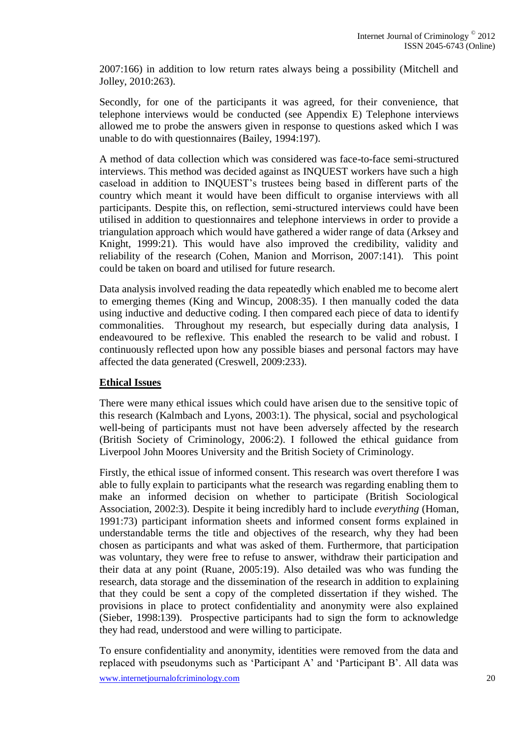2007:166) in addition to low return rates always being a possibility (Mitchell and Jolley, 2010:263).

Secondly, for one of the participants it was agreed, for their convenience, that telephone interviews would be conducted (see Appendix E) Telephone interviews allowed me to probe the answers given in response to questions asked which I was unable to do with questionnaires (Bailey, 1994:197).

A method of data collection which was considered was face-to-face semi-structured interviews. This method was decided against as INQUEST workers have such a high caseload in addition to INQUEST's trustees being based in different parts of the country which meant it would have been difficult to organise interviews with all participants. Despite this, on reflection, semi-structured interviews could have been utilised in addition to questionnaires and telephone interviews in order to provide a triangulation approach which would have gathered a wider range of data (Arksey and Knight, 1999:21). This would have also improved the credibility, validity and reliability of the research (Cohen, Manion and Morrison, 2007:141). This point could be taken on board and utilised for future research.

Data analysis involved reading the data repeatedly which enabled me to become alert to emerging themes (King and Wincup, 2008:35). I then manually coded the data using inductive and deductive coding. I then compared each piece of data to identify commonalities. Throughout my research, but especially during data analysis, I endeavoured to be reflexive. This enabled the research to be valid and robust. I continuously reflected upon how any possible biases and personal factors may have affected the data generated (Creswell, 2009:233).

## **Ethical Issues**

There were many ethical issues which could have arisen due to the sensitive topic of this research (Kalmbach and Lyons, 2003:1). The physical, social and psychological well-being of participants must not have been adversely affected by the research (British Society of Criminology, 2006:2). I followed the ethical guidance from Liverpool John Moores University and the British Society of Criminology.

Firstly, the ethical issue of informed consent. This research was overt therefore I was able to fully explain to participants what the research was regarding enabling them to make an informed decision on whether to participate (British Sociological Association, 2002:3). Despite it being incredibly hard to include *everything* (Homan, 1991:73) participant information sheets and informed consent forms explained in understandable terms the title and objectives of the research, why they had been chosen as participants and what was asked of them. Furthermore, that participation was voluntary, they were free to refuse to answer, withdraw their participation and their data at any point (Ruane, 2005:19). Also detailed was who was funding the research, data storage and the dissemination of the research in addition to explaining that they could be sent a copy of the completed dissertation if they wished. The provisions in place to protect confidentiality and anonymity were also explained (Sieber, 1998:139). Prospective participants had to sign the form to acknowledge they had read, understood and were willing to participate.

To ensure confidentiality and anonymity, identities were removed from the data and replaced with pseudonyms such as 'Participant A' and 'Participant B'. All data was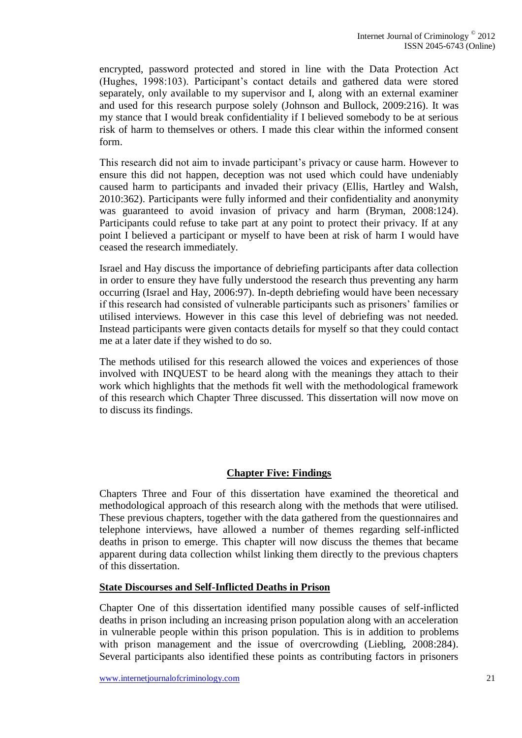encrypted, password protected and stored in line with the Data Protection Act (Hughes, 1998:103). Participant's contact details and gathered data were stored separately, only available to my supervisor and I, along with an external examiner and used for this research purpose solely (Johnson and Bullock, 2009:216). It was my stance that I would break confidentiality if I believed somebody to be at serious risk of harm to themselves or others. I made this clear within the informed consent form.

This research did not aim to invade participant's privacy or cause harm. However to ensure this did not happen, deception was not used which could have undeniably caused harm to participants and invaded their privacy (Ellis, Hartley and Walsh, 2010:362). Participants were fully informed and their confidentiality and anonymity was guaranteed to avoid invasion of privacy and harm (Bryman, 2008:124). Participants could refuse to take part at any point to protect their privacy. If at any point I believed a participant or myself to have been at risk of harm I would have ceased the research immediately.

Israel and Hay discuss the importance of debriefing participants after data collection in order to ensure they have fully understood the research thus preventing any harm occurring (Israel and Hay, 2006:97). In-depth debriefing would have been necessary if this research had consisted of vulnerable participants such as prisoners' families or utilised interviews. However in this case this level of debriefing was not needed. Instead participants were given contacts details for myself so that they could contact me at a later date if they wished to do so.

The methods utilised for this research allowed the voices and experiences of those involved with INQUEST to be heard along with the meanings they attach to their work which highlights that the methods fit well with the methodological framework of this research which Chapter Three discussed. This dissertation will now move on to discuss its findings.

## **Chapter Five: Findings**

Chapters Three and Four of this dissertation have examined the theoretical and methodological approach of this research along with the methods that were utilised. These previous chapters, together with the data gathered from the questionnaires and telephone interviews, have allowed a number of themes regarding self-inflicted deaths in prison to emerge. This chapter will now discuss the themes that became apparent during data collection whilst linking them directly to the previous chapters of this dissertation.

## **State Discourses and Self-Inflicted Deaths in Prison**

Chapter One of this dissertation identified many possible causes of self-inflicted deaths in prison including an increasing prison population along with an acceleration in vulnerable people within this prison population. This is in addition to problems with prison management and the issue of overcrowding (Liebling, 2008:284). Several participants also identified these points as contributing factors in prisoners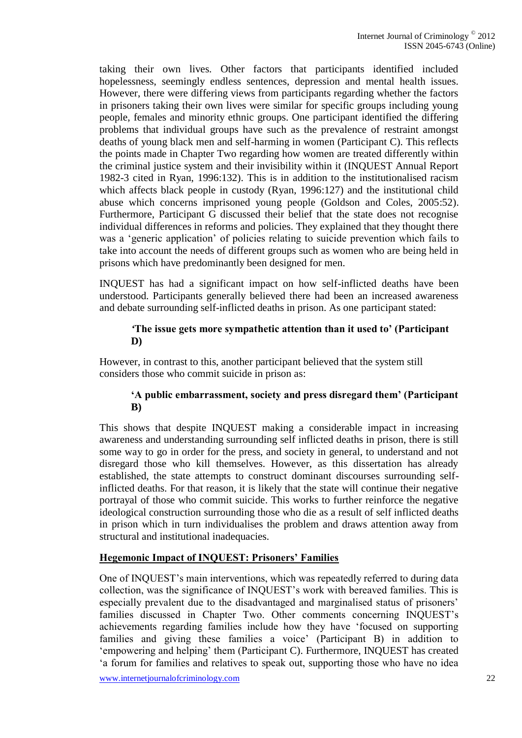taking their own lives. Other factors that participants identified included hopelessness, seemingly endless sentences, depression and mental health issues. However, there were differing views from participants regarding whether the factors in prisoners taking their own lives were similar for specific groups including young people, females and minority ethnic groups. One participant identified the differing problems that individual groups have such as the prevalence of restraint amongst deaths of young black men and self-harming in women (Participant C). This reflects the points made in Chapter Two regarding how women are treated differently within the criminal justice system and their invisibility within it (INQUEST Annual Report 1982-3 cited in Ryan, 1996:132). This is in addition to the institutionalised racism which affects black people in custody (Ryan, 1996:127) and the institutional child abuse which concerns imprisoned young people (Goldson and Coles, 2005:52). Furthermore, Participant G discussed their belief that the state does not recognise individual differences in reforms and policies. They explained that they thought there was a 'generic application' of policies relating to suicide prevention which fails to take into account the needs of different groups such as women who are being held in prisons which have predominantly been designed for men.

INQUEST has had a significant impact on how self-inflicted deaths have been understood. Participants generally believed there had been an increased awareness and debate surrounding self-inflicted deaths in prison. As one participant stated:

#### *'***The issue gets more sympathetic attention than it used to' (Participant D)**

However, in contrast to this, another participant believed that the system still considers those who commit suicide in prison as:

## **'A public embarrassment, society and press disregard them' (Participant B)**

This shows that despite INQUEST making a considerable impact in increasing awareness and understanding surrounding self inflicted deaths in prison, there is still some way to go in order for the press, and society in general, to understand and not disregard those who kill themselves. However, as this dissertation has already established, the state attempts to construct dominant discourses surrounding selfinflicted deaths. For that reason, it is likely that the state will continue their negative portrayal of those who commit suicide. This works to further reinforce the negative ideological construction surrounding those who die as a result of self inflicted deaths in prison which in turn individualises the problem and draws attention away from structural and institutional inadequacies.

## **Hegemonic Impact of INQUEST: Prisoners' Families**

One of INQUEST's main interventions, which was repeatedly referred to during data collection, was the significance of INQUEST's work with bereaved families. This is especially prevalent due to the disadvantaged and marginalised status of prisoners' families discussed in Chapter Two. Other comments concerning INQUEST's achievements regarding families include how they have 'focused on supporting families and giving these families a voice' (Participant B) in addition to 'empowering and helping' them (Participant C). Furthermore, INQUEST has created 'a forum for families and relatives to speak out, supporting those who have no idea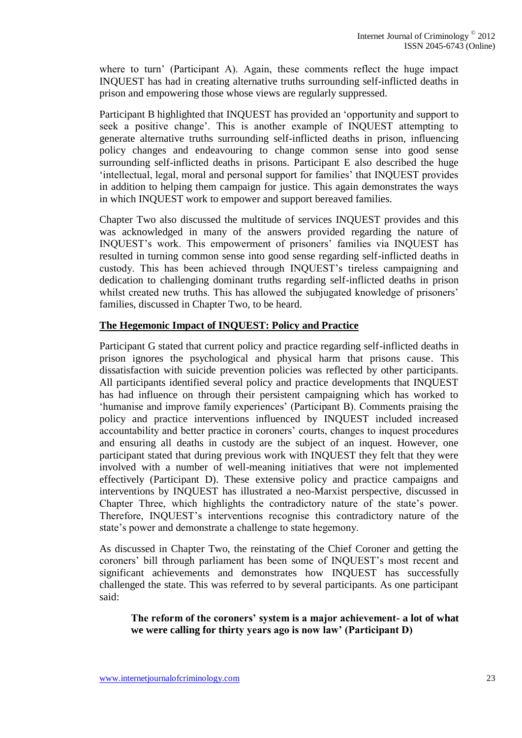where to turn' (Participant A). Again, these comments reflect the huge impact INQUEST has had in creating alternative truths surrounding self-inflicted deaths in prison and empowering those whose views are regularly suppressed.

Participant B highlighted that INQUEST has provided an 'opportunity and support to seek a positive change'. This is another example of INQUEST attempting to generate alternative truths surrounding self-inflicted deaths in prison, influencing policy changes and endeavouring to change common sense into good sense surrounding self-inflicted deaths in prisons. Participant E also described the huge 'intellectual, legal, moral and personal support for families' that INQUEST provides in addition to helping them campaign for justice. This again demonstrates the ways in which INQUEST work to empower and support bereaved families.

Chapter Two also discussed the multitude of services INQUEST provides and this was acknowledged in many of the answers provided regarding the nature of INQUEST's work. This empowerment of prisoners' families via INQUEST has resulted in turning common sense into good sense regarding self-inflicted deaths in custody. This has been achieved through INQUEST's tireless campaigning and dedication to challenging dominant truths regarding self-inflicted deaths in prison whilst created new truths. This has allowed the subjugated knowledge of prisoners' families, discussed in Chapter Two, to be heard.

### **The Hegemonic Impact of INQUEST: Policy and Practice**

Participant G stated that current policy and practice regarding self-inflicted deaths in prison ignores the psychological and physical harm that prisons cause. This dissatisfaction with suicide prevention policies was reflected by other participants. All participants identified several policy and practice developments that INQUEST has had influence on through their persistent campaigning which has worked to 'humanise and improve family experiences' (Participant B). Comments praising the policy and practice interventions influenced by INQUEST included increased accountability and better practice in coroners' courts, changes to inquest procedures and ensuring all deaths in custody are the subject of an inquest. However, one participant stated that during previous work with INQUEST they felt that they were involved with a number of well-meaning initiatives that were not implemented effectively (Participant D). These extensive policy and practice campaigns and interventions by INQUEST has illustrated a neo-Marxist perspective, discussed in Chapter Three, which highlights the contradictory nature of the state's power. Therefore, INQUEST's interventions recognise this contradictory nature of the state's power and demonstrate a challenge to state hegemony.

As discussed in Chapter Two, the reinstating of the Chief Coroner and getting the coroners' bill through parliament has been some of INQUEST's most recent and significant achievements and demonstrates how INQUEST has successfully challenged the state. This was referred to by several participants. As one participant said:

**The reform of the coroners' system is a major achievement- a lot of what we were calling for thirty years ago is now law' (Participant D)**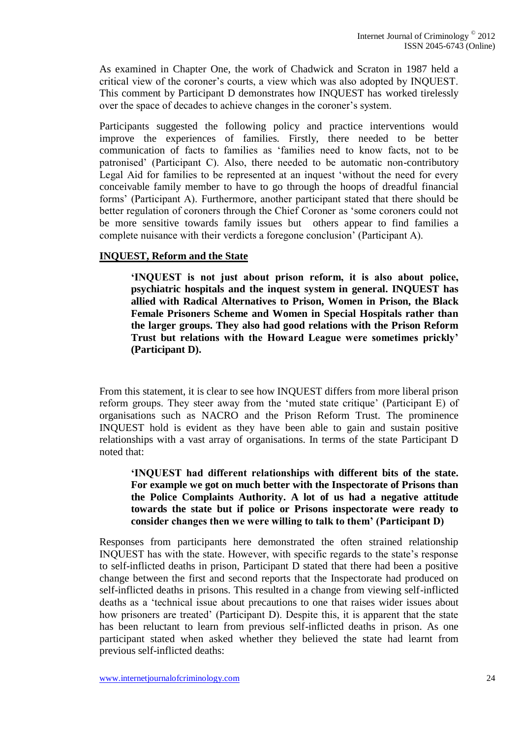As examined in Chapter One, the work of Chadwick and Scraton in 1987 held a critical view of the coroner's courts, a view which was also adopted by INQUEST. This comment by Participant D demonstrates how INQUEST has worked tirelessly over the space of decades to achieve changes in the coroner's system.

Participants suggested the following policy and practice interventions would improve the experiences of families. Firstly, there needed to be better communication of facts to families as 'families need to know facts, not to be patronised' (Participant C). Also, there needed to be automatic non-contributory Legal Aid for families to be represented at an inquest 'without the need for every conceivable family member to have to go through the hoops of dreadful financial forms' (Participant A). Furthermore, another participant stated that there should be better regulation of coroners through the Chief Coroner as 'some coroners could not be more sensitive towards family issues but others appear to find families a complete nuisance with their verdicts a foregone conclusion' (Participant A).

### **INQUEST, Reform and the State**

**'INQUEST is not just about prison reform, it is also about police, psychiatric hospitals and the inquest system in general. INQUEST has allied with Radical Alternatives to Prison, Women in Prison, the Black Female Prisoners Scheme and Women in Special Hospitals rather than the larger groups. They also had good relations with the Prison Reform Trust but relations with the Howard League were sometimes prickly' (Participant D).**

From this statement, it is clear to see how INQUEST differs from more liberal prison reform groups. They steer away from the 'muted state critique' (Participant E) of organisations such as NACRO and the Prison Reform Trust. The prominence INQUEST hold is evident as they have been able to gain and sustain positive relationships with a vast array of organisations. In terms of the state Participant D noted that:

**'INQUEST had different relationships with different bits of the state. For example we got on much better with the Inspectorate of Prisons than the Police Complaints Authority. A lot of us had a negative attitude towards the state but if police or Prisons inspectorate were ready to consider changes then we were willing to talk to them' (Participant D)**

Responses from participants here demonstrated the often strained relationship INQUEST has with the state. However, with specific regards to the state's response to self-inflicted deaths in prison, Participant D stated that there had been a positive change between the first and second reports that the Inspectorate had produced on self-inflicted deaths in prisons. This resulted in a change from viewing self-inflicted deaths as a 'technical issue about precautions to one that raises wider issues about how prisoners are treated' (Participant D). Despite this, it is apparent that the state has been reluctant to learn from previous self-inflicted deaths in prison. As one participant stated when asked whether they believed the state had learnt from previous self-inflicted deaths: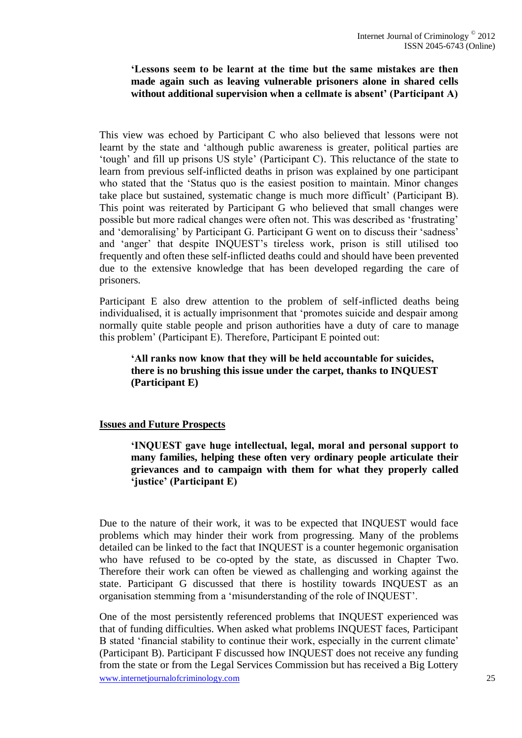### **'Lessons seem to be learnt at the time but the same mistakes are then made again such as leaving vulnerable prisoners alone in shared cells without additional supervision when a cellmate is absent' (Participant A)**

This view was echoed by Participant C who also believed that lessons were not learnt by the state and 'although public awareness is greater, political parties are 'tough' and fill up prisons US style' (Participant C). This reluctance of the state to learn from previous self-inflicted deaths in prison was explained by one participant who stated that the 'Status quo is the easiest position to maintain. Minor changes take place but sustained, systematic change is much more difficult' (Participant B). This point was reiterated by Participant G who believed that small changes were possible but more radical changes were often not. This was described as 'frustrating' and 'demoralising' by Participant G. Participant G went on to discuss their 'sadness' and 'anger' that despite INQUEST's tireless work, prison is still utilised too frequently and often these self-inflicted deaths could and should have been prevented due to the extensive knowledge that has been developed regarding the care of prisoners.

Participant E also drew attention to the problem of self-inflicted deaths being individualised, it is actually imprisonment that 'promotes suicide and despair among normally quite stable people and prison authorities have a duty of care to manage this problem' (Participant E). Therefore, Participant E pointed out:

### **'All ranks now know that they will be held accountable for suicides, there is no brushing this issue under the carpet, thanks to INQUEST (Participant E)**

#### **Issues and Future Prospects**

**'INQUEST gave huge intellectual, legal, moral and personal support to many families, helping these often very ordinary people articulate their grievances and to campaign with them for what they properly called 'justice' (Participant E)**

Due to the nature of their work, it was to be expected that INQUEST would face problems which may hinder their work from progressing. Many of the problems detailed can be linked to the fact that INQUEST is a counter hegemonic organisation who have refused to be co-opted by the state, as discussed in Chapter Two. Therefore their work can often be viewed as challenging and working against the state. Participant G discussed that there is hostility towards INQUEST as an organisation stemming from a 'misunderstanding of the role of INQUEST'.

www.internetiournalofcriminology.com 25 One of the most persistently referenced problems that INQUEST experienced was that of funding difficulties. When asked what problems INQUEST faces, Participant B stated 'financial stability to continue their work, especially in the current climate' (Participant B). Participant F discussed how INQUEST does not receive any funding from the state or from the Legal Services Commission but has received a Big Lottery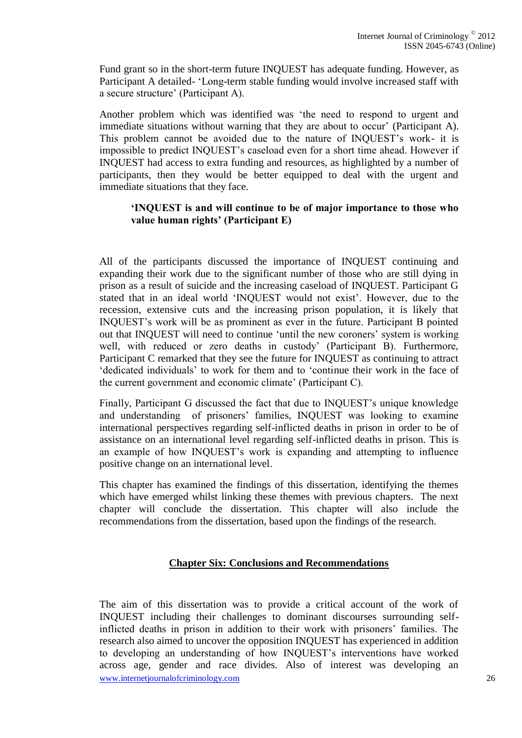Fund grant so in the short-term future INQUEST has adequate funding. However, as Participant A detailed- 'Long-term stable funding would involve increased staff with a secure structure' (Participant A).

Another problem which was identified was 'the need to respond to urgent and immediate situations without warning that they are about to occur' (Participant A). This problem cannot be avoided due to the nature of INQUEST's work- it is impossible to predict INQUEST's caseload even for a short time ahead. However if INQUEST had access to extra funding and resources, as highlighted by a number of participants, then they would be better equipped to deal with the urgent and immediate situations that they face.

### **'INQUEST is and will continue to be of major importance to those who value human rights' (Participant E)**

All of the participants discussed the importance of INQUEST continuing and expanding their work due to the significant number of those who are still dying in prison as a result of suicide and the increasing caseload of INQUEST. Participant G stated that in an ideal world 'INQUEST would not exist'. However, due to the recession, extensive cuts and the increasing prison population, it is likely that INQUEST's work will be as prominent as ever in the future. Participant B pointed out that INQUEST will need to continue 'until the new coroners' system is working well, with reduced or zero deaths in custody' (Participant B). Furthermore, Participant C remarked that they see the future for INQUEST as continuing to attract 'dedicated individuals' to work for them and to 'continue their work in the face of the current government and economic climate' (Participant C).

Finally, Participant G discussed the fact that due to INQUEST's unique knowledge and understanding of prisoners' families, INQUEST was looking to examine international perspectives regarding self-inflicted deaths in prison in order to be of assistance on an international level regarding self-inflicted deaths in prison. This is an example of how INQUEST's work is expanding and attempting to influence positive change on an international level.

This chapter has examined the findings of this dissertation, identifying the themes which have emerged whilst linking these themes with previous chapters. The next chapter will conclude the dissertation. This chapter will also include the recommendations from the dissertation, based upon the findings of the research.

## **Chapter Six: Conclusions and Recommendations**

www.internetiournalofcriminology.com 26 The aim of this dissertation was to provide a critical account of the work of INQUEST including their challenges to dominant discourses surrounding selfinflicted deaths in prison in addition to their work with prisoners' families. The research also aimed to uncover the opposition INQUEST has experienced in addition to developing an understanding of how INQUEST's interventions have worked across age, gender and race divides. Also of interest was developing an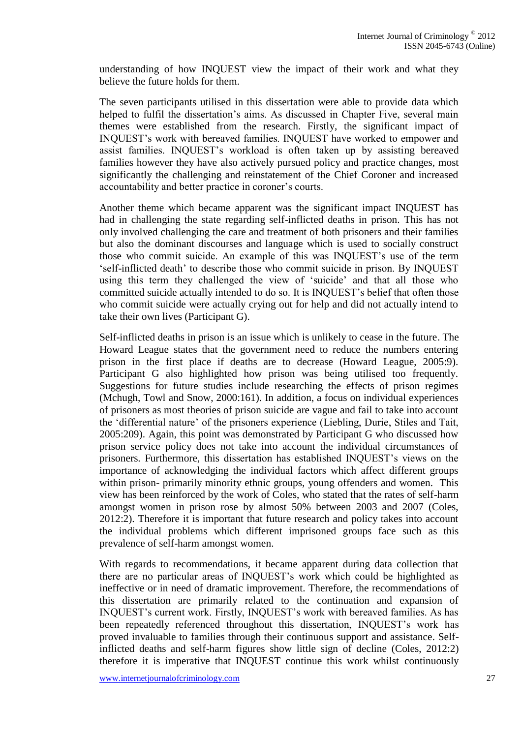understanding of how INQUEST view the impact of their work and what they believe the future holds for them.

The seven participants utilised in this dissertation were able to provide data which helped to fulfil the dissertation's aims. As discussed in Chapter Five, several main themes were established from the research. Firstly, the significant impact of INQUEST's work with bereaved families. INQUEST have worked to empower and assist families. INQUEST's workload is often taken up by assisting bereaved families however they have also actively pursued policy and practice changes, most significantly the challenging and reinstatement of the Chief Coroner and increased accountability and better practice in coroner's courts.

Another theme which became apparent was the significant impact INQUEST has had in challenging the state regarding self-inflicted deaths in prison. This has not only involved challenging the care and treatment of both prisoners and their families but also the dominant discourses and language which is used to socially construct those who commit suicide. An example of this was INQUEST's use of the term 'self-inflicted death' to describe those who commit suicide in prison. By INQUEST using this term they challenged the view of 'suicide' and that all those who committed suicide actually intended to do so. It is INQUEST's belief that often those who commit suicide were actually crying out for help and did not actually intend to take their own lives (Participant G).

Self-inflicted deaths in prison is an issue which is unlikely to cease in the future. The Howard League states that the government need to reduce the numbers entering prison in the first place if deaths are to decrease (Howard League, 2005:9). Participant G also highlighted how prison was being utilised too frequently. Suggestions for future studies include researching the effects of prison regimes (Mchugh, Towl and Snow, 2000:161). In addition, a focus on individual experiences of prisoners as most theories of prison suicide are vague and fail to take into account the 'differential nature' of the prisoners experience (Liebling, Durie, Stiles and Tait, 2005:209). Again, this point was demonstrated by Participant G who discussed how prison service policy does not take into account the individual circumstances of prisoners. Furthermore, this dissertation has established INQUEST's views on the importance of acknowledging the individual factors which affect different groups within prison- primarily minority ethnic groups, young offenders and women. This view has been reinforced by the work of Coles, who stated that the rates of self-harm amongst women in prison rose by almost 50% between 2003 and 2007 (Coles, 2012:2). Therefore it is important that future research and policy takes into account the individual problems which different imprisoned groups face such as this prevalence of self-harm amongst women.

With regards to recommendations, it became apparent during data collection that there are no particular areas of INQUEST's work which could be highlighted as ineffective or in need of dramatic improvement. Therefore, the recommendations of this dissertation are primarily related to the continuation and expansion of INQUEST's current work. Firstly, INQUEST's work with bereaved families. As has been repeatedly referenced throughout this dissertation, INQUEST's work has proved invaluable to families through their continuous support and assistance. Selfinflicted deaths and self-harm figures show little sign of decline (Coles, 2012:2) therefore it is imperative that INQUEST continue this work whilst continuously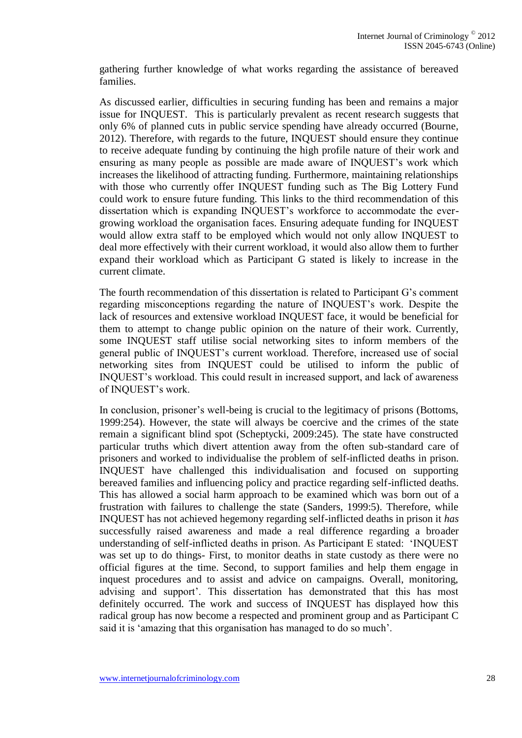gathering further knowledge of what works regarding the assistance of bereaved families.

As discussed earlier, difficulties in securing funding has been and remains a major issue for INQUEST. This is particularly prevalent as recent research suggests that only 6% of planned cuts in public service spending have already occurred (Bourne, 2012). Therefore, with regards to the future, INQUEST should ensure they continue to receive adequate funding by continuing the high profile nature of their work and ensuring as many people as possible are made aware of INQUEST's work which increases the likelihood of attracting funding. Furthermore, maintaining relationships with those who currently offer INQUEST funding such as The Big Lottery Fund could work to ensure future funding. This links to the third recommendation of this dissertation which is expanding INQUEST's workforce to accommodate the evergrowing workload the organisation faces. Ensuring adequate funding for INQUEST would allow extra staff to be employed which would not only allow INQUEST to deal more effectively with their current workload, it would also allow them to further expand their workload which as Participant G stated is likely to increase in the current climate.

The fourth recommendation of this dissertation is related to Participant G's comment regarding misconceptions regarding the nature of INQUEST's work. Despite the lack of resources and extensive workload INQUEST face, it would be beneficial for them to attempt to change public opinion on the nature of their work. Currently, some INQUEST staff utilise social networking sites to inform members of the general public of INQUEST's current workload. Therefore, increased use of social networking sites from INQUEST could be utilised to inform the public of INQUEST's workload. This could result in increased support, and lack of awareness of INQUEST's work.

In conclusion, prisoner's well-being is crucial to the legitimacy of prisons (Bottoms, 1999:254). However, the state will always be coercive and the crimes of the state remain a significant blind spot (Scheptycki, 2009:245). The state have constructed particular truths which divert attention away from the often sub-standard care of prisoners and worked to individualise the problem of self-inflicted deaths in prison. INQUEST have challenged this individualisation and focused on supporting bereaved families and influencing policy and practice regarding self-inflicted deaths. This has allowed a social harm approach to be examined which was born out of a frustration with failures to challenge the state (Sanders, 1999:5). Therefore, while INQUEST has not achieved hegemony regarding self-inflicted deaths in prison it *has* successfully raised awareness and made a real difference regarding a broader understanding of self-inflicted deaths in prison. As Participant E stated: 'INQUEST was set up to do things- First, to monitor deaths in state custody as there were no official figures at the time. Second, to support families and help them engage in inquest procedures and to assist and advice on campaigns. Overall, monitoring, advising and support'. This dissertation has demonstrated that this has most definitely occurred. The work and success of INQUEST has displayed how this radical group has now become a respected and prominent group and as Participant C said it is 'amazing that this organisation has managed to do so much'.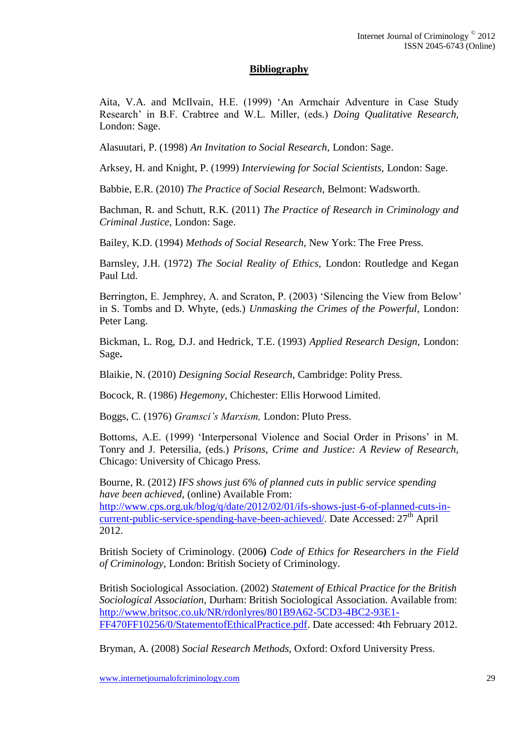### **Bibliography**

Aita, V.A. and McIlvain, H.E. (1999) 'An Armchair Adventure in Case Study Research' in B.F. Crabtree and W.L. Miller, (eds.) *Doing Qualitative Research,*  London: Sage.

Alasuutari, P. (1998) *An Invitation to Social Research,* London: Sage.

Arksey, H. and Knight, P. (1999) *Interviewing for Social Scientists,* London: Sage.

Babbie, E.R. (2010) *The Practice of Social Research,* Belmont: Wadsworth.

Bachman, R. and Schutt, R.K. (2011) *The Practice of Research in Criminology and Criminal Justice,* London: Sage.

Bailey, K.D. (1994) *Methods of Social Research,* New York: The Free Press.

Barnsley, J.H. (1972) *The Social Reality of Ethics,* London: Routledge and Kegan Paul Ltd.

Berrington, E. Jemphrey, A. and Scraton, P. (2003) 'Silencing the View from Below' in S. Tombs and D. Whyte, (eds.) *Unmasking the Crimes of the Powerful,* London: Peter Lang.

Bickman, L. Rog, D.J. and Hedrick, T.E. (1993) *Applied Research Design,* London: Sage**.** 

Blaikie, N. (2010) *Designing Social Research,* Cambridge: Polity Press.

Bocock, R. (1986) *Hegemony,* Chichester: Ellis Horwood Limited.

Boggs, C. (1976) *Gramsci's Marxism,* London: Pluto Press.

Bottoms, A.E. (1999) 'Interpersonal Violence and Social Order in Prisons' in M. Tonry and J. Petersilia, (eds.) *Prisons, Crime and Justice: A Review of Research,*  Chicago: University of Chicago Press.

Bourne, R. (2012) *IFS shows just 6% of planned cuts in public service spending have been achieved,* (online) Available From: [http://www.cps.org.uk/blog/q/date/2012/02/01/ifs-shows-just-6-of-planned-cuts-in](http://www.cps.org.uk/blog/q/date/2012/02/01/ifs-shows-just-6-of-planned-cuts-in-current-public-service-spending-have-been-achieved/)[current-public-service-spending-have-been-achieved/.](http://www.cps.org.uk/blog/q/date/2012/02/01/ifs-shows-just-6-of-planned-cuts-in-current-public-service-spending-have-been-achieved/) Date Accessed: 27<sup>th</sup> April 2012.

British Society of Criminology. (2006**)** *Code of Ethics for Researchers in the Field of Criminology,* London: British Society of Criminology.

British Sociological Association. (2002) *Statement of Ethical Practice for the British Sociological Association,* Durham: British Sociological Association. Available from: [http://www.britsoc.co.uk/NR/rdonlyres/801B9A62-5CD3-4BC2-93E1-](http://www.britsoc.co.uk/NR/rdonlyres/801B9A62-5CD3-4BC2-93E1-FF470FF10256/0/StatementofEthicalPractice.pdf) [FF470FF10256/0/StatementofEthicalPractice.pdf.](http://www.britsoc.co.uk/NR/rdonlyres/801B9A62-5CD3-4BC2-93E1-FF470FF10256/0/StatementofEthicalPractice.pdf) Date accessed: 4th February 2012.

Bryman, A. (2008) *Social Research Methods,* Oxford: Oxford University Press.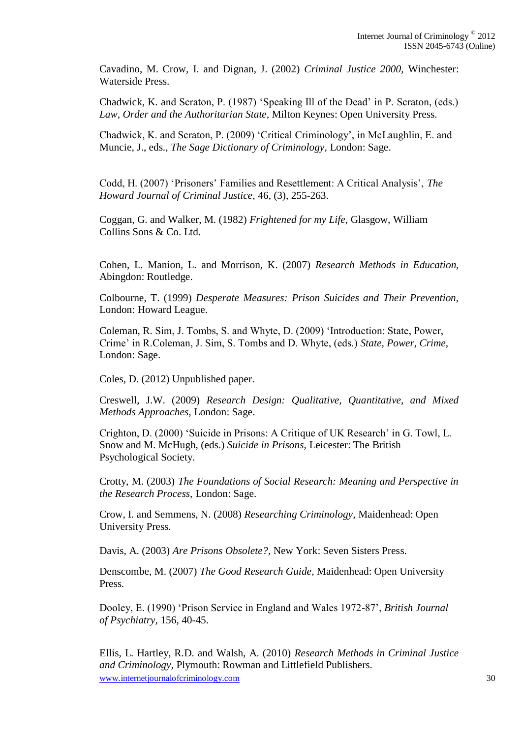Cavadino, M. Crow, I. and Dignan, J. (2002) *Criminal Justice 2000,* Winchester: Waterside Press.

Chadwick, K. and Scraton, P. (1987) 'Speaking Ill of the Dead' in P. Scraton, (eds.) *Law, Order and the Authoritarian State,* Milton Keynes: Open University Press.

Chadwick, K. and Scraton, P. (2009) 'Critical Criminology', in McLaughlin, E. and Muncie, J., eds., *The Sage Dictionary of Criminology,* London: Sage.

Codd, H. (2007) 'Prisoners' Families and Resettlement: A Critical Analysis', *The Howard Journal of Criminal Justice,* 46, (3), 255-263.

Coggan, G. and Walker, M. (1982) *Frightened for my Life,* Glasgow, William Collins Sons & Co. Ltd.

Cohen, L. Manion, L. and Morrison, K. (2007) *Research Methods in Education,*  Abingdon: Routledge.

Colbourne, T. (1999) *Desperate Measures: Prison Suicides and Their Prevention,*  London: Howard League.

Coleman, R. Sim, J. Tombs, S. and Whyte, D. (2009) 'Introduction: State, Power, Crime' in R.Coleman, J. Sim, S. Tombs and D. Whyte, (eds.) *State, Power, Crime,*  London: Sage.

Coles, D. (2012) Unpublished paper.

Creswell, J.W. (2009) *Research Design: Qualitative, Quantitative, and Mixed Methods Approaches,* London: Sage.

Crighton, D. (2000) 'Suicide in Prisons: A Critique of UK Research' in G. Towl, L. Snow and M. McHugh, (eds.) *Suicide in Prisons,* Leicester: The British Psychological Society.

Crotty, M. (2003) *The Foundations of Social Research: Meaning and Perspective in the Research Process,* London: Sage.

Crow, I. and Semmens, N. (2008) *Researching Criminology,* Maidenhead: Open University Press.

Davis, A. (2003) *Are Prisons Obsolete?,* New York: Seven Sisters Press.

Denscombe, M. (2007) *The Good Research Guide,* Maidenhead: Open University Press.

Dooley, E. (1990) 'Prison Service in England and Wales 1972-87', *British Journal of Psychiatry,* 156, 40-45.

www.internetiournalofcriminology.com 30 Ellis, L. Hartley, R.D. and Walsh, A. (2010) *Research Methods in Criminal Justice and Criminology,* Plymouth: Rowman and Littlefield Publishers.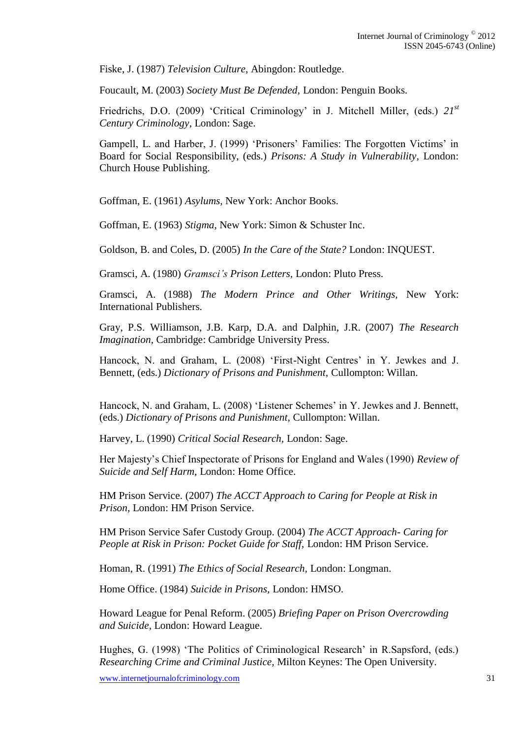Fiske, J. (1987) *Television Culture,* Abingdon: Routledge.

Foucault, M. (2003) *Society Must Be Defended,* London: Penguin Books.

Friedrichs, D.O. (2009) 'Critical Criminology' in J. Mitchell Miller, (eds.) *21st Century Criminology,* London: Sage.

Gampell, L. and Harber, J. (1999) 'Prisoners' Families: The Forgotten Victims' in Board for Social Responsibility, (eds.) *Prisons: A Study in Vulnerability,* London: Church House Publishing.

Goffman, E. (1961) *Asylums,* New York: Anchor Books.

Goffman, E. (1963) *Stigma,* New York: Simon & Schuster Inc.

Goldson, B. and Coles, D. (2005) *In the Care of the State?* London: INQUEST.

Gramsci, A. (1980) *Gramsci's Prison Letters,* London: Pluto Press.

Gramsci, A. (1988) *The Modern Prince and Other Writings,* New York: International Publishers.

Gray, P.S. Williamson, J.B. Karp, D.A. and Dalphin, J.R. (2007) *The Research Imagination,* Cambridge: Cambridge University Press.

Hancock, N. and Graham, L. (2008) 'First-Night Centres' in Y. Jewkes and J. Bennett, (eds.) *Dictionary of Prisons and Punishment,* Cullompton: Willan.

Hancock, N. and Graham, L. (2008) 'Listener Schemes' in Y. Jewkes and J. Bennett, (eds.) *Dictionary of Prisons and Punishment,* Cullompton: Willan.

Harvey, L. (1990) *Critical Social Research,* London: Sage.

Her Majesty's Chief Inspectorate of Prisons for England and Wales (1990) *Review of Suicide and Self Harm,* London: Home Office.

HM Prison Service. (2007) *The ACCT Approach to Caring for People at Risk in Prison,* London: HM Prison Service.

HM Prison Service Safer Custody Group. (2004) *The ACCT Approach- Caring for People at Risk in Prison: Pocket Guide for Staff,* London: HM Prison Service.

Homan, R. (1991) *The Ethics of Social Research,* London: Longman.

Home Office. (1984) *Suicide in Prisons,* London: HMSO.

Howard League for Penal Reform. (2005) *Briefing Paper on Prison Overcrowding and Suicide,* London: Howard League.

Hughes, G. (1998) 'The Politics of Criminological Research' in R.Sapsford, (eds.) *Researching Crime and Criminal Justice,* Milton Keynes: The Open University.

www.internetjournalofcriminology.com 31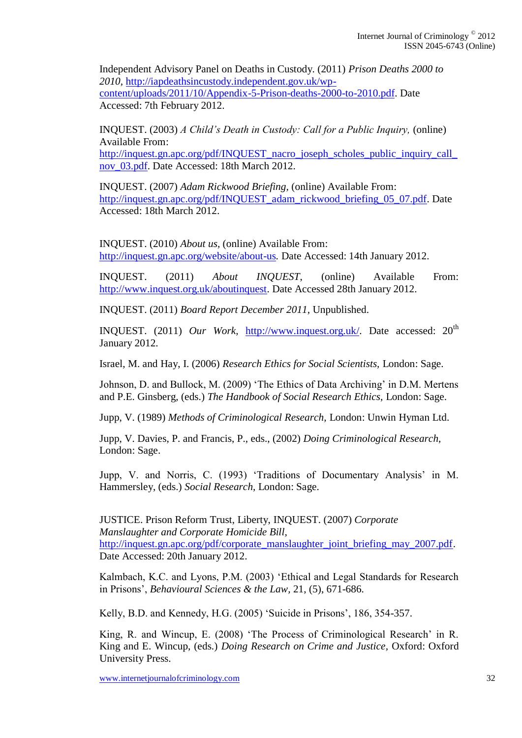Independent Advisory Panel on Deaths in Custody. (2011) *Prison Deaths 2000 to 2010,* [http://iapdeathsincustody.independent.gov.uk/wp](http://iapdeathsincustody.independent.gov.uk/wp-content/uploads/2011/10/Appendix-5-Prison-deaths-2000-to-2010.pdf)[content/uploads/2011/10/Appendix-5-Prison-deaths-2000-to-2010.pdf.](http://iapdeathsincustody.independent.gov.uk/wp-content/uploads/2011/10/Appendix-5-Prison-deaths-2000-to-2010.pdf) Date Accessed: 7th February 2012.

INQUEST. (2003) *A Child's Death in Custody: Call for a Public Inquiry,* (online) Available From: [http://inquest.gn.apc.org/pdf/INQUEST\\_nacro\\_joseph\\_scholes\\_public\\_inquiry\\_call\\_](http://inquest.gn.apc.org/pdf/INQUEST_nacro_joseph_scholes_public_inquiry_call_nov_03.pdf)

nov 03.pdf. Date Accessed: 18th March 2012.

INQUEST. (2007) *Adam Rickwood Briefing,* (online) Available From: [http://inquest.gn.apc.org/pdf/INQUEST\\_adam\\_rickwood\\_briefing\\_05\\_07.pdf.](http://inquest.gn.apc.org/pdf/INQUEST_adam_rickwood_briefing_05_07.pdf) Date Accessed: 18th March 2012.

INQUEST. (2010) *About us,* (online) Available From: <http://inquest.gn.apc.org/website/about-us>*.* Date Accessed: 14th January 2012.

INQUEST. (2011) *About INQUEST*, (online) Available From: [http://www.inquest.org.uk/aboutinquest.](http://www.inquest.org.uk/aboutinquest) Date Accessed 28th January 2012.

INQUEST. (2011) *Board Report December 2011,* Unpublished.

INQUEST. (2011) *Our Work*, [http://www.inquest.org.uk/.](http://www.inquest.org.uk/) Date accessed: 20<sup>th</sup> January 2012.

Israel, M. and Hay, I. (2006) *Research Ethics for Social Scientists,* London: Sage.

Johnson, D. and Bullock, M. (2009) 'The Ethics of Data Archiving' in D.M. Mertens and P.E. Ginsberg, (eds.) *The Handbook of Social Research Ethics,* London: Sage.

Jupp, V. (1989) *Methods of Criminological Research,* London: Unwin Hyman Ltd.

Jupp, V. Davies, P. and Francis, P., eds., (2002) *Doing Criminological Research,*  London: Sage.

Jupp, V. and Norris, C. (1993) 'Traditions of Documentary Analysis' in M. Hammersley, (eds.) *Social Research,* London: Sage.

JUSTICE. Prison Reform Trust, Liberty, INQUEST. (2007) *Corporate Manslaughter and Corporate Homicide Bill,*  [http://inquest.gn.apc.org/pdf/corporate\\_manslaughter\\_joint\\_briefing\\_may\\_2007.pdf.](http://inquest.gn.apc.org/pdf/corporate_manslaughter_joint_briefing_may_2007.pdf) Date Accessed: 20th January 2012.

Kalmbach, K.C. and Lyons, P.M. (2003) 'Ethical and Legal Standards for Research in Prisons', *[Behavioural Sciences & the Law,](http://onlinelibrary.wiley.com/journal/10.1002/%28ISSN%291099-0798)* 21, (5), 671-686.

Kelly, B.D. and Kennedy, H.G. (2005) 'Suicide in Prisons', 186, 354-357.

King, R. and Wincup, E. (2008) 'The Process of Criminological Research' in R. King and E. Wincup, (eds.) *Doing Research on Crime and Justice,* Oxford: Oxford University Press.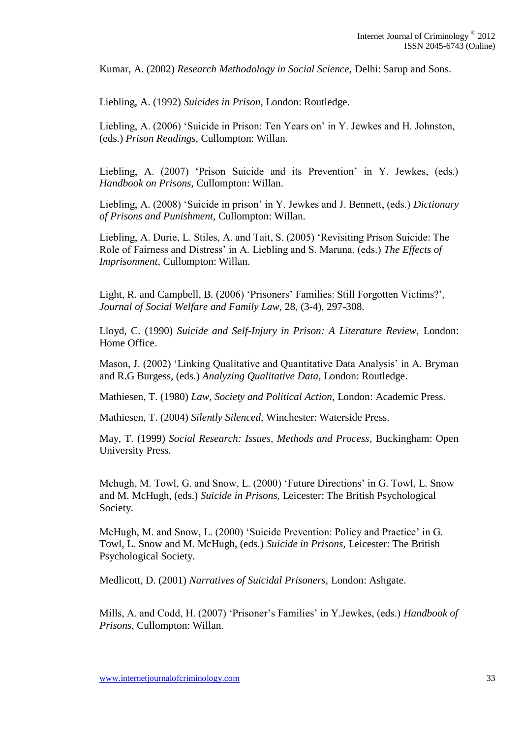Kumar, A. (2002) *Research Methodology in Social Science,* Delhi: Sarup and Sons.

Liebling, A. (1992) *Suicides in Prison,* London: Routledge.

Liebling, A. (2006) 'Suicide in Prison: Ten Years on' in Y. Jewkes and H. Johnston, (eds.) *Prison Readings,* Cullompton: Willan.

Liebling, A. (2007) 'Prison Suicide and its Prevention' in Y. Jewkes, (eds.) *Handbook on Prisons,* Cullompton: Willan.

Liebling, A. (2008) 'Suicide in prison' in Y. Jewkes and J. Bennett, (eds.) *Dictionary of Prisons and Punishment,* Cullompton: Willan.

Liebling, A. Durie, L. Stiles, A. and Tait, S. (2005) 'Revisiting Prison Suicide: The Role of Fairness and Distress' in A. Liebling and S. Maruna, (eds.) *The Effects of Imprisonment,* Cullompton: Willan.

Light, R. and Campbell, B. (2006) 'Prisoners' Families: Still Forgotten Victims?', *Journal of Social Welfare and Family Law,* 28, (3-4), 297-308.

Lloyd, C. (1990) *Suicide and Self-Injury in Prison: A Literature Review,* London: Home Office.

Mason, J. (2002) 'Linking Qualitative and Quantitative Data Analysis' in A. Bryman and R.G Burgess, (eds.) *Analyzing Qualitative Data,* London: Routledge.

Mathiesen, T. (1980) *Law, Society and Political Action,* London: Academic Press.

Mathiesen, T. (2004) *Silently Silenced,* Winchester: Waterside Press.

May, T. (1999) *Social Research: Issues, Methods and Process*, Buckingham: Open University Press.

Mchugh, M. Towl, G. and Snow, L. (2000) 'Future Directions' in G. Towl, L. Snow and M. McHugh, (eds.) *Suicide in Prisons,* Leicester: The British Psychological Society.

McHugh, M. and Snow, L. (2000) 'Suicide Prevention: Policy and Practice' in G. Towl, L. Snow and M. McHugh, (eds.) *Suicide in Prisons,* Leicester: The British Psychological Society.

Medlicott, D. (2001) *Narratives of Suicidal Prisoners,* London: Ashgate.

Mills, A. and Codd, H. (2007) 'Prisoner's Families' in Y.Jewkes, (eds.) *Handbook of Prisons,* Cullompton: Willan.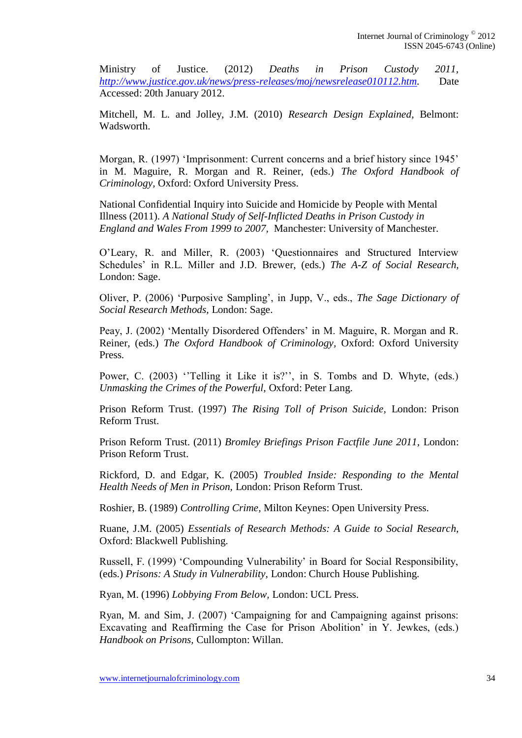Ministry of Justice. (2012) *Deaths in Prison Custody 2011, [http://www.justice.gov.uk/news/press-releases/moj/newsrelease010112.htm.](http://www.justice.gov.uk/news/press-releases/moj/newsrelease010112.htm)* Date Accessed: 20th January 2012.

Mitchell, M. L. and Jolley, J.M. (2010) *Research Design Explained,* Belmont: Wadsworth.

Morgan, R. (1997) 'Imprisonment: Current concerns and a brief history since 1945' in M. Maguire, R. Morgan and R. Reiner, (eds.) *The Oxford Handbook of Criminology,* Oxford: Oxford University Press.

National Confidential Inquiry into Suicide and Homicide by People with Mental Illness (2011). *A National Study of Self-Inflicted Deaths in Prison Custody in England and Wales From 1999 to 2007,* Manchester: University of Manchester.

O'Leary, R. and Miller, R. (2003) 'Questionnaires and Structured Interview Schedules' in R.L. Miller and J.D. Brewer, (eds.) *The A-Z of Social Research,*  London: Sage.

Oliver, P. (2006) 'Purposive Sampling', in Jupp, V., eds., *The Sage Dictionary of Social Research Methods,* London: Sage.

Peay, J. (2002) 'Mentally Disordered Offenders' in M. Maguire, R. Morgan and R. Reiner, (eds.) *The Oxford Handbook of Criminology,* Oxford: Oxford University Press.

Power, C. (2003) "Telling it Like it is?", in S. Tombs and D. Whyte, (eds.) *Unmasking the Crimes of the Powerful,* Oxford: Peter Lang.

Prison Reform Trust. (1997) *The Rising Toll of Prison Suicide,* London: Prison Reform Trust.

Prison Reform Trust. (2011) *Bromley Briefings Prison Factfile June 2011,* London: Prison Reform Trust.

Rickford, D. and Edgar, K. (2005) *Troubled Inside: Responding to the Mental Health Needs of Men in Prison,* London: Prison Reform Trust.

Roshier, B. (1989) *Controlling Crime,* Milton Keynes: Open University Press.

Ruane, J.M. (2005) *Essentials of Research Methods: A Guide to Social Research,*  Oxford: Blackwell Publishing.

Russell, F. (1999) 'Compounding Vulnerability' in Board for Social Responsibility, (eds.) *Prisons: A Study in Vulnerability,* London: Church House Publishing.

Ryan, M. (1996) *Lobbying From Below,* London: UCL Press.

Ryan, M. and Sim, J. (2007) 'Campaigning for and Campaigning against prisons: Excavating and Reaffirming the Case for Prison Abolition' in Y. Jewkes, (eds.) *Handbook on Prisons,* Cullompton: Willan.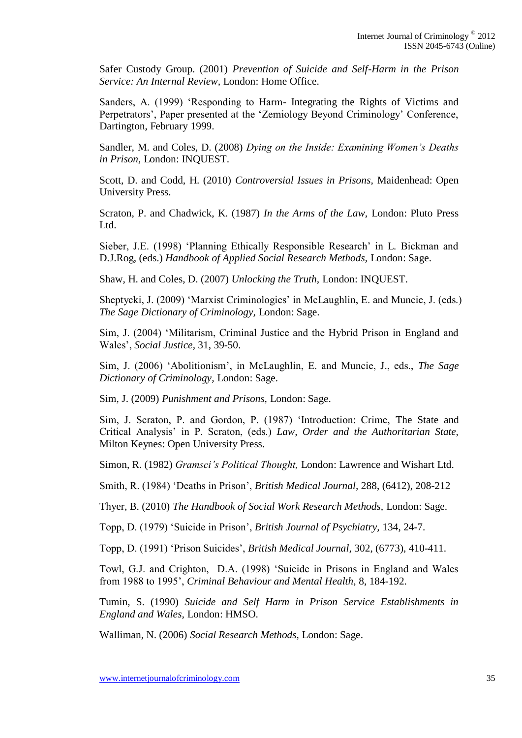Safer Custody Group. (2001) *Prevention of Suicide and Self-Harm in the Prison Service: An Internal Review,* London: Home Office.

Sanders, A. (1999) 'Responding to Harm- Integrating the Rights of Victims and Perpetrators', Paper presented at the 'Zemiology Beyond Criminology' Conference, Dartington, February 1999.

Sandler, M. and Coles, D. (2008) *Dying on the Inside: Examining Women's Deaths in Prison,* London: INQUEST.

Scott, D. and Codd, H. (2010) *Controversial Issues in Prisons,* Maidenhead: Open University Press.

Scraton, P. and Chadwick, K. (1987) *In the Arms of the Law,* London: Pluto Press Ltd.

Sieber, J.E. (1998) 'Planning Ethically Responsible Research' in L. Bickman and D.J.Rog, (eds.) *Handbook of Applied Social Research Methods,* London: Sage.

Shaw, H. and Coles, D. (2007) *Unlocking the Truth,* London: INQUEST.

Sheptycki, J. (2009) 'Marxist Criminologies' in McLaughlin, E. and Muncie, J. (eds.) *The Sage Dictionary of Criminology,* London: Sage.

Sim, J. (2004) 'Militarism, Criminal Justice and the Hybrid Prison in England and Wales', *Social Justice,* 31, 39-50.

Sim, J. (2006) 'Abolitionism', in McLaughlin, E. and Muncie, J., eds., *The Sage Dictionary of Criminology,* London: Sage.

Sim, J. (2009) *Punishment and Prisons,* London: Sage.

Sim, J. Scraton, P. and Gordon, P. (1987) 'Introduction: Crime, The State and Critical Analysis' in P. Scraton, (eds.) *Law, Order and the Authoritarian State,*  Milton Keynes: Open University Press.

Simon, R. (1982) *Gramsci's Political Thought,* London: Lawrence and Wishart Ltd.

Smith, R. (1984) 'Deaths in Prison', *British Medical Journal,* 288, (6412), 208-212

Thyer, B. (2010) *The Handbook of Social Work Research Methods,* London: Sage.

Topp, D. (1979) 'Suicide in Prison', *British Journal of Psychiatry,* 134, 24-7.

Topp, D. (1991) 'Prison Suicides', *British Medical Journal,* 302, (6773), 410-411.

Towl, G.J. and Crighton, D.A. (1998) 'Suicide in Prisons in England and Wales from 1988 to 1995', *Criminal Behaviour and Mental Health,* 8, 184-192.

Tumin, S. (1990) *Suicide and Self Harm in Prison Service Establishments in England and Wales,* London: HMSO.

Walliman, N. (2006) *Social Research Methods,* London: Sage.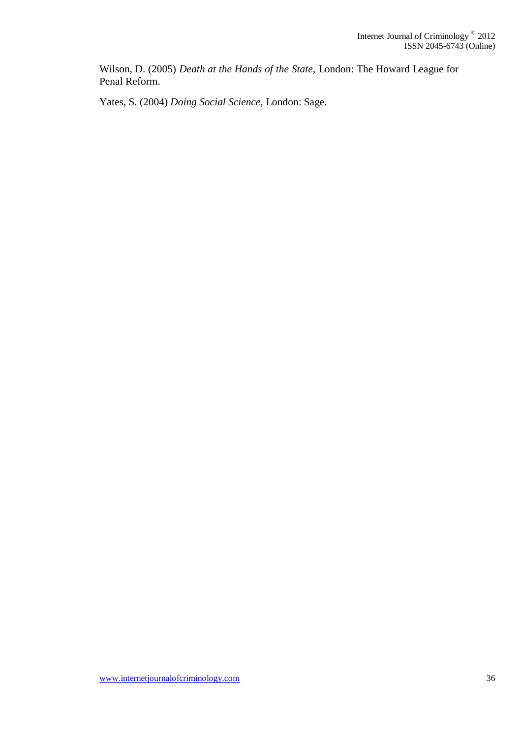Wilson, D. (2005) *Death at the Hands of the State,* London: The Howard League for Penal Reform.

Yates, S. (2004) *Doing Social Science,* London: Sage.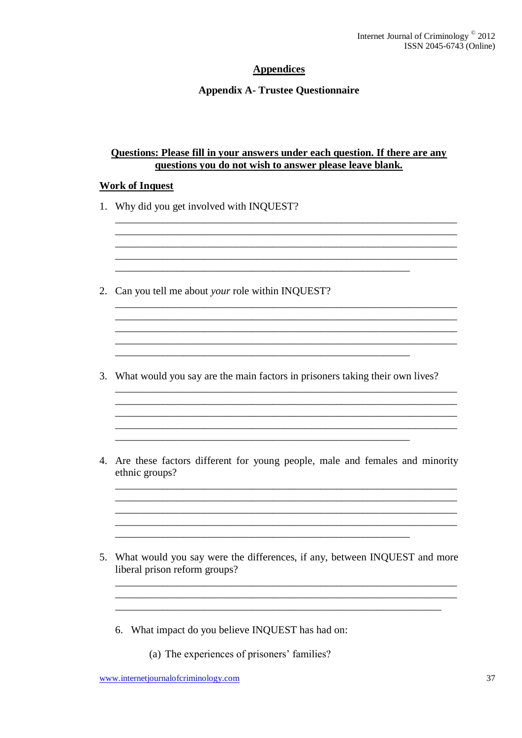## **Appendices**

## **Appendix A- Trustee Questionnaire**

#### Questions: Please fill in your answers under each question. If there are any questions you do not wish to answer please leave blank.

<u> 1989 - Johann Barbara, marka a shekara tsa 1989 - An tsa 1989 - An tsa 1989 - An tsa 1989 - An tsa 1989 - An</u> 

#### **Work of Inquest**

- 1. Why did you get involved with INOUEST?
- 2. Can you tell me about your role within INQUEST?

- 3. What would you say are the main factors in prisoners taking their own lives?
- 4. Are these factors different for young people, male and females and minority ethnic groups?
- 5. What would you say were the differences, if any, between INQUEST and more liberal prison reform groups?

- 6. What impact do you believe INQUEST has had on:
	- (a) The experiences of prisoners' families?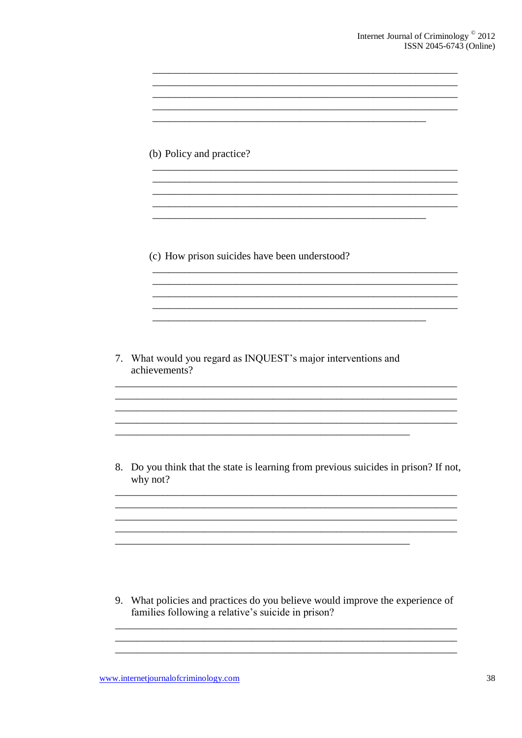<u> 1980 - John Stein, Amerikaansk politiker (</u>

<u> 1989 - Johann Stoff, amerikansk politiker (d. 1989)</u>

(b) Policy and practice?

(c) How prison suicides have been understood?

7. What would you regard as INQUEST's major interventions and achievements?

8. Do you think that the state is learning from previous suicides in prison? If not, why not?

<u> 1980 - Johann Barn, mars ann an t-Amhain ann an t-Amhain an t-Amhain an t-Amhain an t-Amhain an t-Amhain an t-</u>

9. What policies and practices do you believe would improve the experience of families following a relative's suicide in prison?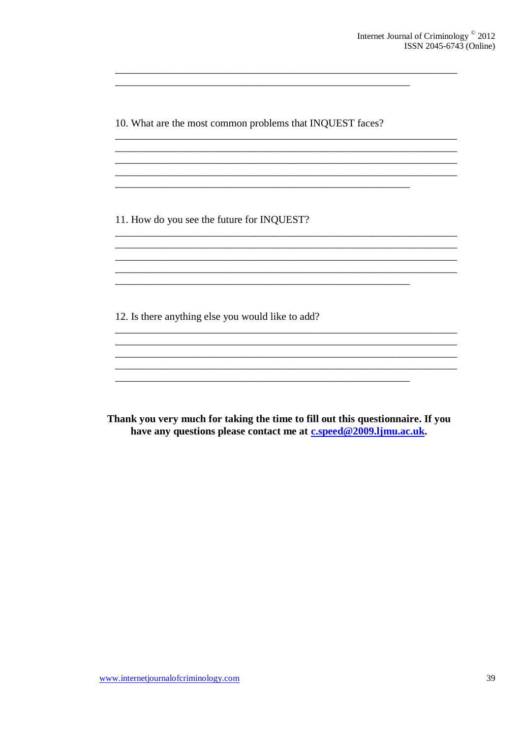10. What are the most common problems that INQUEST faces?

<u> 1989 - Johann Barbara, martxa alemaniar amerikan personal di sebagai personal di sebagai personal di sebagai</u>

11. How do you see the future for INQUEST?

12. Is there anything else you would like to add?

Thank you very much for taking the time to fill out this questionnaire. If you have any questions please contact me at cspeed@2009.ljmu.ac.uk.

<u> 1980 - Johann John Stone, mars eta biztanleria (h. 1980).</u> <u> 1989 - Johann Barbara, martxa alemaniar argumento estas políticas de la contrada de la contrada de la contra</u>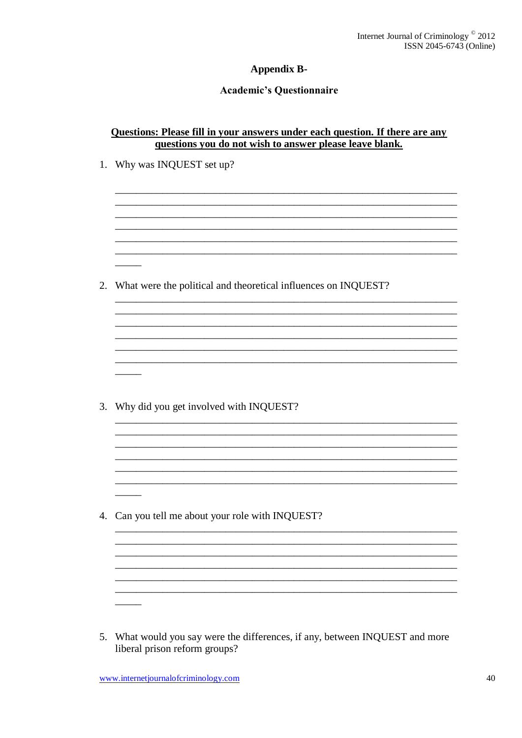## **Appendix B-**

## **Academic's Questionnaire**

| Questions: Please fill in your answers under each question. If there are any |  |
|------------------------------------------------------------------------------|--|
| questions you do not wish to answer please leave blank.                      |  |

|    | 1. Why was INQUEST set up?                                     |
|----|----------------------------------------------------------------|
|    |                                                                |
|    |                                                                |
| 2. | What were the political and theoretical influences on INQUEST? |
|    |                                                                |
|    |                                                                |
| 3. | Why did you get involved with INQUEST?                         |
|    |                                                                |
|    |                                                                |
|    | 4. Can you tell me about your role with INQUEST?               |
|    |                                                                |

5. What would you say were the differences, if any, between INQUEST and more liberal prison reform groups?

 $\overline{\phantom{a}}$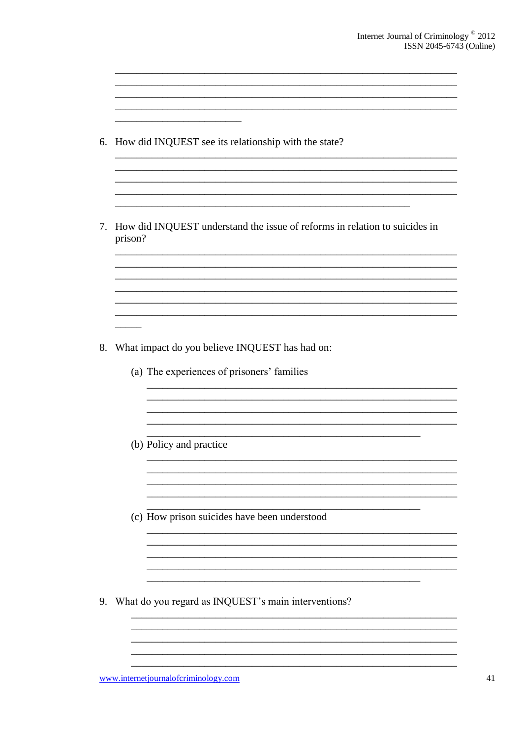|         | How did INQUEST see its relationship with the state?                                         |
|---------|----------------------------------------------------------------------------------------------|
| prison? | How did INQUEST understand the issue of reforms in relation to suicides in                   |
|         |                                                                                              |
|         |                                                                                              |
|         | What impact do you believe INQUEST has had on:<br>(a) The experiences of prisoners' families |
|         | (b) Policy and practice                                                                      |
|         | (c) How prison suicides have been understood                                                 |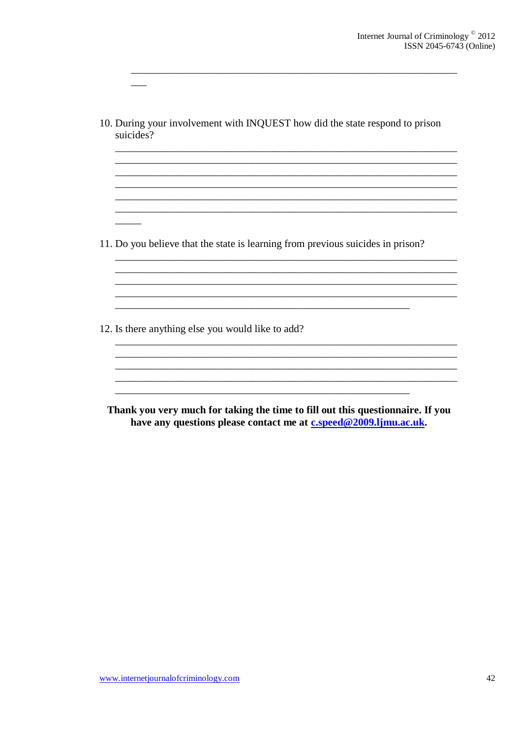10. During your involvement with INQUEST how did the state respond to prison suicides?

and the control of the control of the control of the control of the control of the control of the control of the

11. Do you believe that the state is learning from previous suicides in prison?

12. Is there anything else you would like to add?

Thank you very much for taking the time to fill out this questionnaire. If you have any questions please contact me at c.speed@2009.ljmu.ac.uk.

and the control of the control of the control of the control of the control of the control of the control of the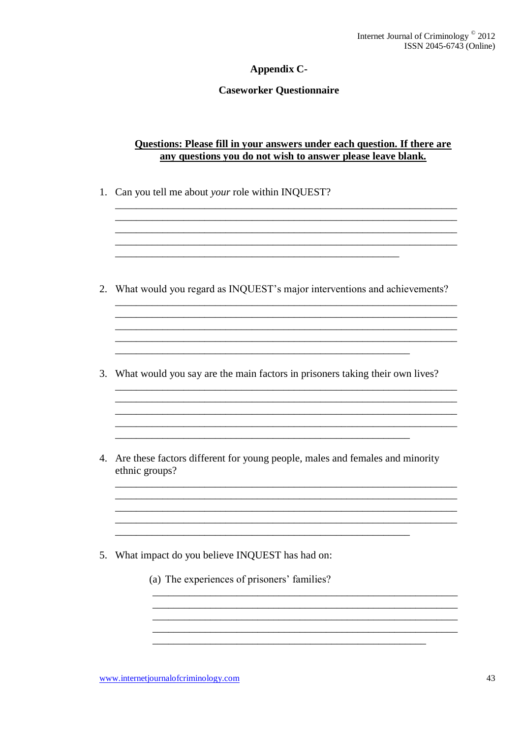## Appendix C-

#### **Caseworker Questionnaire**

## Questions: Please fill in your answers under each question. If there are any questions you do not wish to answer please leave blank.

<u> 1989 - Johann Barn, amerikansk politiker (d. 1989)</u> 

1. Can you tell me about your role within INQUEST?

- 2. What would you regard as INQUEST's major interventions and achievements?
- 3. What would you say are the main factors in prisoners taking their own lives?
- 4. Are these factors different for young people, males and females and minority ethnic groups?
- 5. What impact do you believe INQUEST has had on:
	- (a) The experiences of prisoners' families?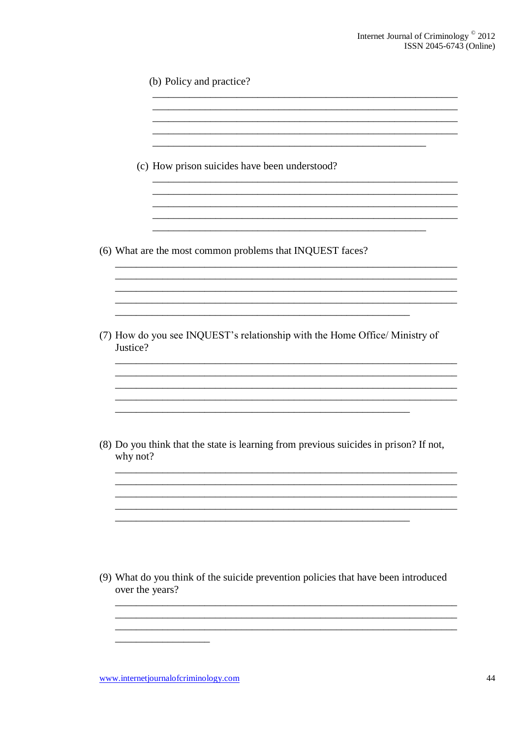| (c) How prison suicides have been understood?                                                         |
|-------------------------------------------------------------------------------------------------------|
|                                                                                                       |
| (6) What are the most common problems that INQUEST faces?                                             |
|                                                                                                       |
|                                                                                                       |
| (7) How do you see INQUEST's relationship with the Home Office/ Ministry of<br>Justice?               |
|                                                                                                       |
|                                                                                                       |
| (8) Do you think that the state is learning from previous suicides in prison? If not,<br>why not?     |
|                                                                                                       |
|                                                                                                       |
|                                                                                                       |
|                                                                                                       |
| (9) What do you think of the suicide prevention policies that have been introduced<br>over the years? |
|                                                                                                       |
|                                                                                                       |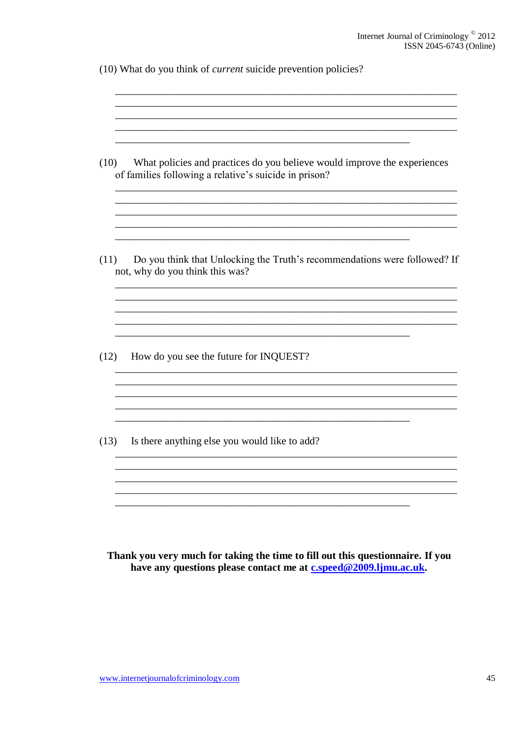(10) What do you think of *current* suicide prevention policies?

| (10) | What policies and practices do you believe would improve the experiences<br>of families following a relative's suicide in prison? |
|------|-----------------------------------------------------------------------------------------------------------------------------------|
| (11) | Do you think that Unlocking the Truth's recommendations were followed? If<br>not, why do you think this was?                      |
| (12) | How do you see the future for INQUEST?                                                                                            |
| (13) | Is there anything else you would like to add?                                                                                     |

Thank you very much for taking the time to fill out this questionnaire. If you have any questions please contact me at c.speed@2009.ljmu.ac.uk.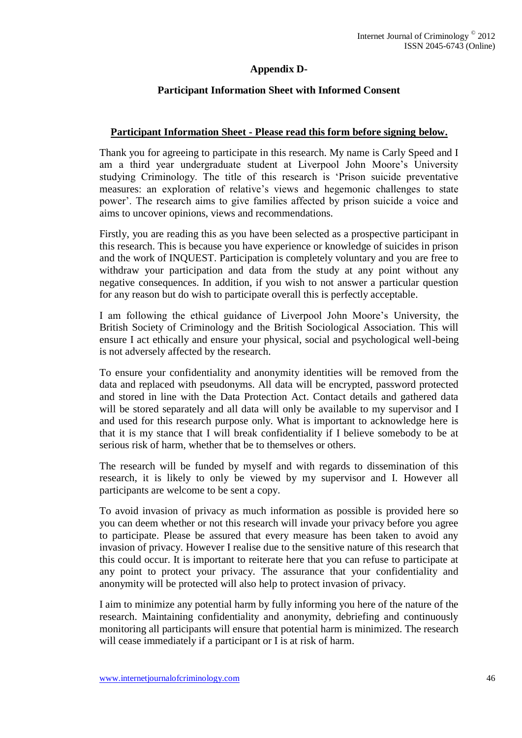## **Appendix D-**

## **Participant Information Sheet with Informed Consent**

#### **Participant Information Sheet - Please read this form before signing below.**

Thank you for agreeing to participate in this research. My name is Carly Speed and I am a third year undergraduate student at Liverpool John Moore's University studying Criminology. The title of this research is 'Prison suicide preventative measures: an exploration of relative's views and hegemonic challenges to state power'. The research aims to give families affected by prison suicide a voice and aims to uncover opinions, views and recommendations.

Firstly, you are reading this as you have been selected as a prospective participant in this research. This is because you have experience or knowledge of suicides in prison and the work of INQUEST. Participation is completely voluntary and you are free to withdraw your participation and data from the study at any point without any negative consequences. In addition, if you wish to not answer a particular question for any reason but do wish to participate overall this is perfectly acceptable.

I am following the ethical guidance of Liverpool John Moore's University, the British Society of Criminology and the British Sociological Association. This will ensure I act ethically and ensure your physical, social and psychological well-being is not adversely affected by the research.

To ensure your confidentiality and anonymity identities will be removed from the data and replaced with pseudonyms. All data will be encrypted, password protected and stored in line with the Data Protection Act. Contact details and gathered data will be stored separately and all data will only be available to my supervisor and I and used for this research purpose only. What is important to acknowledge here is that it is my stance that I will break confidentiality if I believe somebody to be at serious risk of harm, whether that be to themselves or others.

The research will be funded by myself and with regards to dissemination of this research, it is likely to only be viewed by my supervisor and I. However all participants are welcome to be sent a copy.

To avoid invasion of privacy as much information as possible is provided here so you can deem whether or not this research will invade your privacy before you agree to participate. Please be assured that every measure has been taken to avoid any invasion of privacy. However I realise due to the sensitive nature of this research that this could occur. It is important to reiterate here that you can refuse to participate at any point to protect your privacy. The assurance that your confidentiality and anonymity will be protected will also help to protect invasion of privacy.

I aim to minimize any potential harm by fully informing you here of the nature of the research. Maintaining confidentiality and anonymity, debriefing and continuously monitoring all participants will ensure that potential harm is minimized. The research will cease immediately if a participant or I is at risk of harm.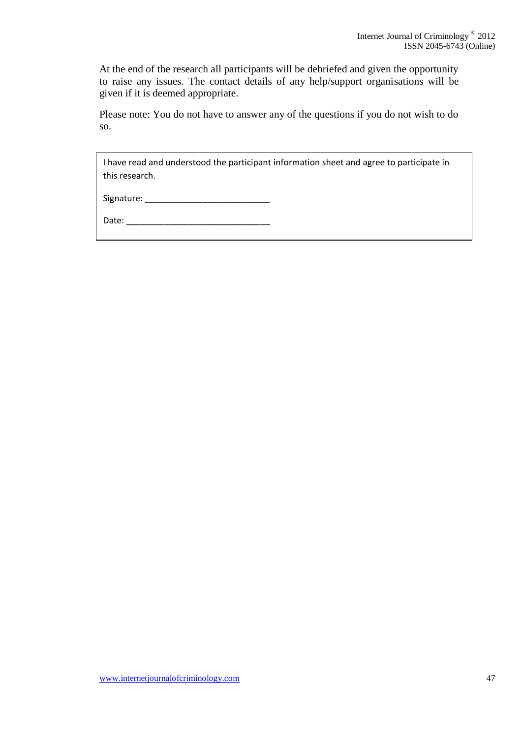At the end of the research all participants will be debriefed and given the opportunity to raise any issues. The contact details of any help/support organisations will be given if it is deemed appropriate.

Please note: You do not have to answer any of the questions if you do not wish to do so.

I have read and understood the participant information sheet and agree to participate in this research.

| Signature: |
|------------|
|------------|

Date: \_\_\_\_\_\_\_\_\_\_\_\_\_\_\_\_\_\_\_\_\_\_\_\_\_\_\_\_\_\_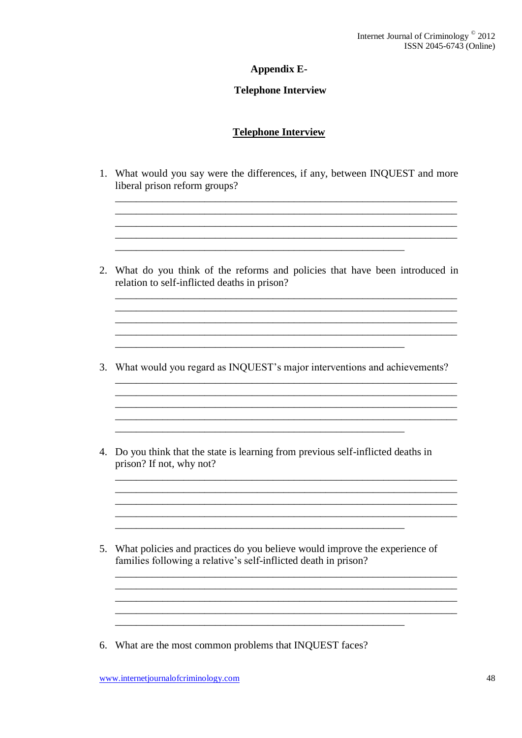## **Appendix E-**

## **Telephone Interview**

## **Telephone Interview**

1. What would you say were the differences, if any, between INQUEST and more liberal prison reform groups?

<u> 1989 - Johann Stoff, amerikansk politiker (d. 1989)</u>

<u> 1989 - Johann Stoff, amerikansk politiker (d. 1989)</u>

- 2. What do you think of the reforms and policies that have been introduced in relation to self-inflicted deaths in prison?
- 3. What would you regard as INQUEST's major interventions and achievements?
- 4. Do you think that the state is learning from previous self-inflicted deaths in prison? If not, why not?
- 5. What policies and practices do you believe would improve the experience of families following a relative's self-inflicted death in prison?
- 6. What are the most common problems that INQUEST faces?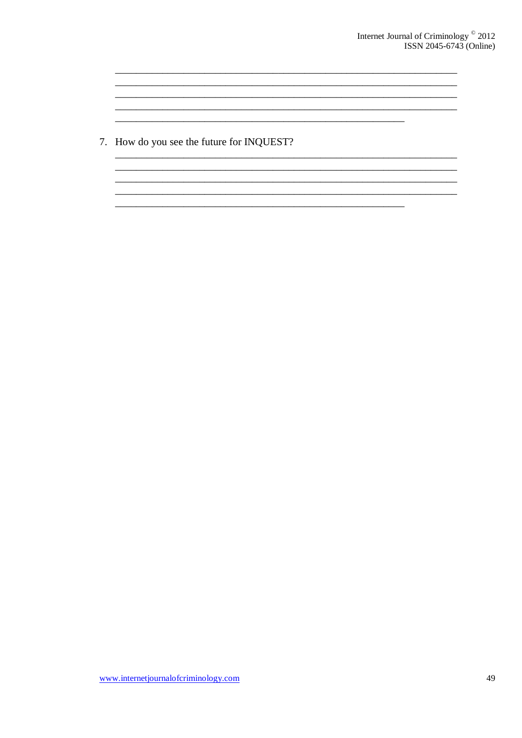7. How do you see the future for INQUEST?

<u> 1980 - Jan Barnett, margaret eta biztanleria (h. 1980).</u>